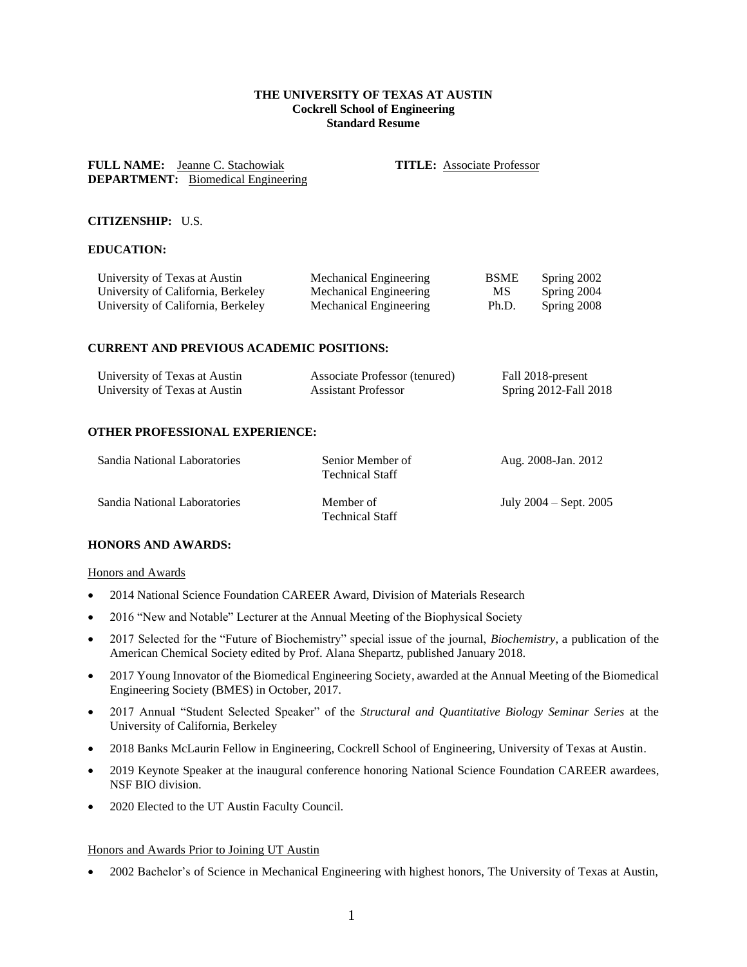# **THE UNIVERSITY OF TEXAS AT AUSTIN Cockrell School of Engineering Standard Resume**

**FULL NAME:** Jeanne C. Stachowiak **TITLE:** Associate Professor **DEPARTMENT:** Biomedical Engineering

## **CITIZENSHIP:** U.S.

# **EDUCATION:**

| University of Texas at Austin      | Mechanical Engineering | <b>BSME</b> | Spring 2002 |
|------------------------------------|------------------------|-------------|-------------|
| University of California, Berkeley | Mechanical Engineering | МS          | Spring 2004 |
| University of California, Berkeley | Mechanical Engineering | Ph.D.       | Spring 2008 |

### **CURRENT AND PREVIOUS ACADEMIC POSITIONS:**

| University of Texas at Austin | Associate Professor (tenured) | Fall 2018-present     |
|-------------------------------|-------------------------------|-----------------------|
| University of Texas at Austin | <b>Assistant Professor</b>    | Spring 2012-Fall 2018 |

### **OTHER PROFESSIONAL EXPERIENCE:**

| Sandia National Laboratories | Senior Member of<br><b>Technical Staff</b> | Aug. 2008-Jan. 2012        |
|------------------------------|--------------------------------------------|----------------------------|
| Sandia National Laboratories | Member of<br><b>Technical Staff</b>        | July $2004 -$ Sept. $2005$ |

## **HONORS AND AWARDS:**

#### Honors and Awards

- 2014 National Science Foundation CAREER Award, Division of Materials Research
- 2016 "New and Notable" Lecturer at the Annual Meeting of the Biophysical Society
- 2017 Selected for the "Future of Biochemistry" special issue of the journal, *Biochemistry*, a publication of the American Chemical Society edited by Prof. Alana Shepartz, published January 2018.
- 2017 Young Innovator of the Biomedical Engineering Society, awarded at the Annual Meeting of the Biomedical Engineering Society (BMES) in October, 2017.
- 2017 Annual "Student Selected Speaker" of the *Structural and Quantitative Biology Seminar Series* at the University of California, Berkeley
- 2018 Banks McLaurin Fellow in Engineering, Cockrell School of Engineering, University of Texas at Austin.
- 2019 Keynote Speaker at the inaugural conference honoring National Science Foundation CAREER awardees, NSF BIO division.
- 2020 Elected to the UT Austin Faculty Council.

## Honors and Awards Prior to Joining UT Austin

• 2002 Bachelor's of Science in Mechanical Engineering with highest honors, The University of Texas at Austin,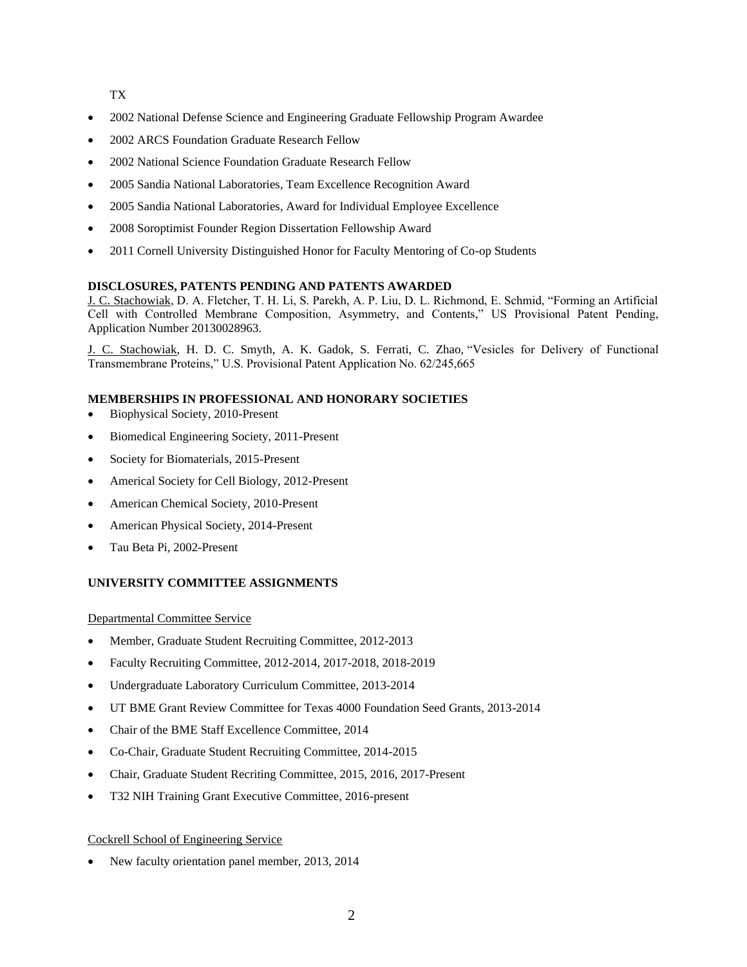TX

- 2002 National Defense Science and Engineering Graduate Fellowship Program Awardee
- 2002 ARCS Foundation Graduate Research Fellow
- 2002 National Science Foundation Graduate Research Fellow
- 2005 Sandia National Laboratories, Team Excellence Recognition Award
- 2005 Sandia National Laboratories, Award for Individual Employee Excellence
- 2008 Soroptimist Founder Region Dissertation Fellowship Award
- 2011 Cornell University Distinguished Honor for Faculty Mentoring of Co-op Students

# **DISCLOSURES, PATENTS PENDING AND PATENTS AWARDED**

J. C. Stachowiak, D. A. Fletcher, T. H. Li, S. Parekh, A. P. Liu, D. L. Richmond, E. Schmid, "Forming an Artificial Cell with Controlled Membrane Composition, Asymmetry, and Contents," US Provisional Patent Pending, Application Number 20130028963.

J. C. Stachowiak, H. D. C. Smyth, A. K. Gadok, S. Ferrati, C. Zhao, "Vesicles for Delivery of Functional Transmembrane Proteins," U.S. Provisional Patent Application No. 62/245,665

# **MEMBERSHIPS IN PROFESSIONAL AND HONORARY SOCIETIES**

- Biophysical Society, 2010-Present
- Biomedical Engineering Society, 2011-Present
- Society for Biomaterials, 2015-Present
- Americal Society for Cell Biology, 2012-Present
- American Chemical Society, 2010-Present
- American Physical Society, 2014-Present
- Tau Beta Pi, 2002-Present

# **UNIVERSITY COMMITTEE ASSIGNMENTS**

## Departmental Committee Service

- Member, Graduate Student Recruiting Committee, 2012-2013
- Faculty Recruiting Committee, 2012-2014, 2017-2018, 2018-2019
- Undergraduate Laboratory Curriculum Committee, 2013-2014
- UT BME Grant Review Committee for Texas 4000 Foundation Seed Grants, 2013-2014
- Chair of the BME Staff Excellence Committee, 2014
- Co-Chair, Graduate Student Recruiting Committee, 2014-2015
- Chair, Graduate Student Recriting Committee, 2015, 2016, 2017-Present
- T32 NIH Training Grant Executive Committee, 2016-present

# Cockrell School of Engineering Service

• New faculty orientation panel member, 2013, 2014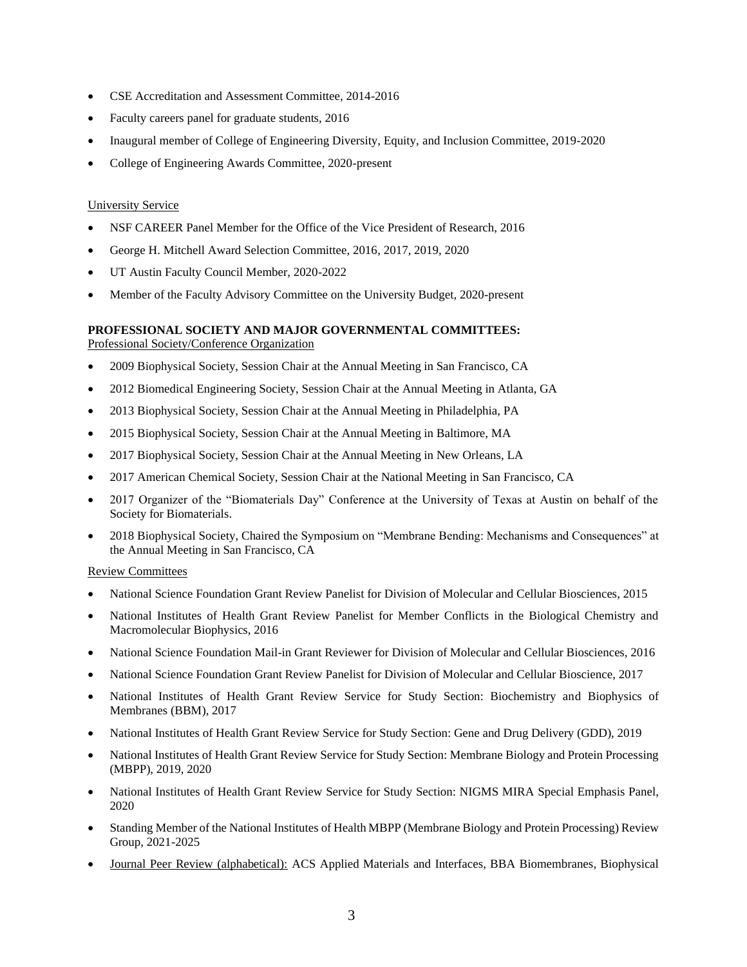- CSE Accreditation and Assessment Committee, 2014-2016
- Faculty careers panel for graduate students, 2016
- Inaugural member of College of Engineering Diversity, Equity, and Inclusion Committee, 2019-2020
- College of Engineering Awards Committee, 2020-present

## University Service

- NSF CAREER Panel Member for the Office of the Vice President of Research, 2016
- George H. Mitchell Award Selection Committee, 2016, 2017, 2019, 2020
- UT Austin Faculty Council Member, 2020-2022
- Member of the Faculty Advisory Committee on the University Budget, 2020-present

# **PROFESSIONAL SOCIETY AND MAJOR GOVERNMENTAL COMMITTEES:**

Professional Society/Conference Organization

- 2009 Biophysical Society, Session Chair at the Annual Meeting in San Francisco, CA
- 2012 Biomedical Engineering Society, Session Chair at the Annual Meeting in Atlanta, GA
- 2013 Biophysical Society, Session Chair at the Annual Meeting in Philadelphia, PA
- 2015 Biophysical Society, Session Chair at the Annual Meeting in Baltimore, MA
- 2017 Biophysical Society, Session Chair at the Annual Meeting in New Orleans, LA
- 2017 American Chemical Society, Session Chair at the National Meeting in San Francisco, CA
- 2017 Organizer of the "Biomaterials Day" Conference at the University of Texas at Austin on behalf of the Society for Biomaterials.
- 2018 Biophysical Society, Chaired the Symposium on "Membrane Bending: Mechanisms and Consequences" at the Annual Meeting in San Francisco, CA

### Review Committees

- National Science Foundation Grant Review Panelist for Division of Molecular and Cellular Biosciences, 2015
- National Institutes of Health Grant Review Panelist for Member Conflicts in the Biological Chemistry and Macromolecular Biophysics, 2016
- National Science Foundation Mail-in Grant Reviewer for Division of Molecular and Cellular Biosciences, 2016
- National Science Foundation Grant Review Panelist for Division of Molecular and Cellular Bioscience, 2017
- National Institutes of Health Grant Review Service for Study Section: Biochemistry and Biophysics of Membranes (BBM), 2017
- National Institutes of Health Grant Review Service for Study Section: Gene and Drug Delivery (GDD), 2019
- National Institutes of Health Grant Review Service for Study Section: Membrane Biology and Protein Processing (MBPP), 2019, 2020
- National Institutes of Health Grant Review Service for Study Section: NIGMS MIRA Special Emphasis Panel, 2020
- Standing Member of the National Institutes of Health MBPP (Membrane Biology and Protein Processing) Review Group, 2021-2025
- Journal Peer Review (alphabetical): ACS Applied Materials and Interfaces, BBA Biomembranes, Biophysical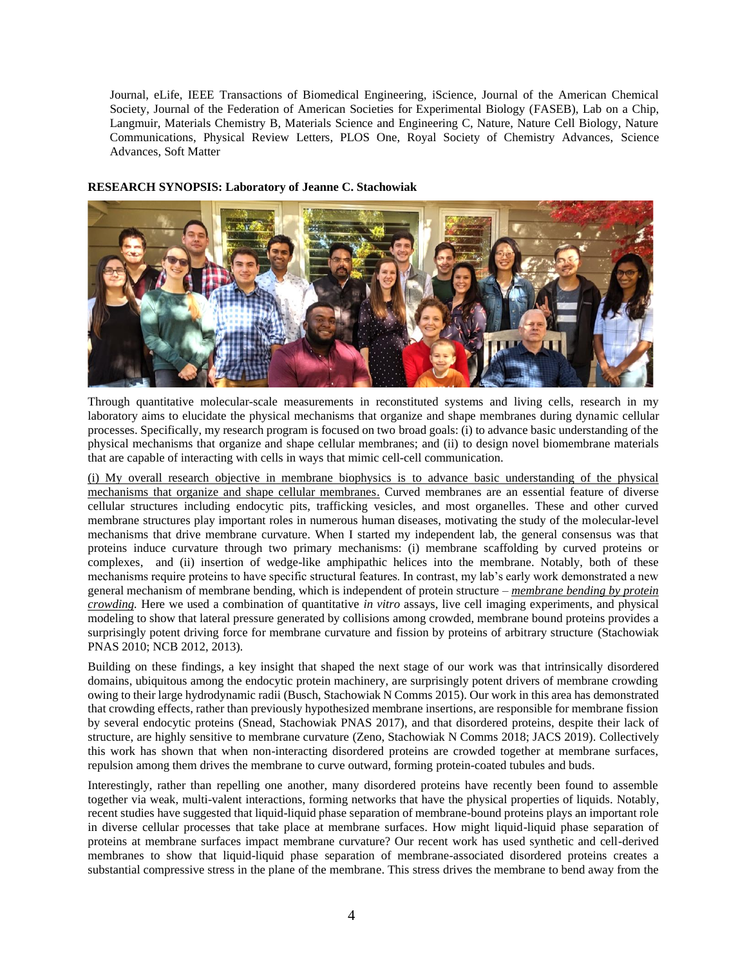Journal, eLife, IEEE Transactions of Biomedical Engineering, iScience, Journal of the American Chemical Society, Journal of the Federation of American Societies for Experimental Biology (FASEB), Lab on a Chip, Langmuir, Materials Chemistry B, Materials Science and Engineering C, Nature, Nature Cell Biology, Nature Communications, Physical Review Letters, PLOS One, Royal Society of Chemistry Advances, Science Advances, Soft Matter

## **RESEARCH SYNOPSIS: Laboratory of Jeanne C. Stachowiak**



Through quantitative molecular-scale measurements in reconstituted systems and living cells, research in my laboratory aims to elucidate the physical mechanisms that organize and shape membranes during dynamic cellular processes. Specifically, my research program is focused on two broad goals: (i) to advance basic understanding of the physical mechanisms that organize and shape cellular membranes; and (ii) to design novel biomembrane materials that are capable of interacting with cells in ways that mimic cell-cell communication.

(i) My overall research objective in membrane biophysics is to advance basic understanding of the physical mechanisms that organize and shape cellular membranes. Curved membranes are an essential feature of diverse cellular structures including endocytic pits, trafficking vesicles, and most organelles. These and other curved membrane structures play important roles in numerous human diseases, motivating the study of the molecular-level mechanisms that drive membrane curvature. When I started my independent lab, the general consensus was that proteins induce curvature through two primary mechanisms: (i) membrane scaffolding by curved proteins or complexes, and (ii) insertion of wedge-like amphipathic helices into the membrane. Notably, both of these mechanisms require proteins to have specific structural features. In contrast, my lab's early work demonstrated a new general mechanism of membrane bending, which is independent of protein structure – *membrane bending by protein crowding.* Here we used a combination of quantitative *in vitro* assays, live cell imaging experiments, and physical modeling to show that lateral pressure generated by collisions among crowded, membrane bound proteins provides a surprisingly potent driving force for membrane curvature and fission by proteins of arbitrary structure (Stachowiak PNAS 2010; NCB 2012, 2013).

Building on these findings, a key insight that shaped the next stage of our work was that intrinsically disordered domains, ubiquitous among the endocytic protein machinery, are surprisingly potent drivers of membrane crowding owing to their large hydrodynamic radii (Busch, Stachowiak N Comms 2015). Our work in this area has demonstrated that crowding effects, rather than previously hypothesized membrane insertions, are responsible for membrane fission by several endocytic proteins (Snead, Stachowiak PNAS 2017), and that disordered proteins, despite their lack of structure, are highly sensitive to membrane curvature (Zeno, Stachowiak N Comms 2018; JACS 2019). Collectively this work has shown that when non-interacting disordered proteins are crowded together at membrane surfaces, repulsion among them drives the membrane to curve outward, forming protein-coated tubules and buds.

Interestingly, rather than repelling one another, many disordered proteins have recently been found to assemble together via weak, multi-valent interactions, forming networks that have the physical properties of liquids. Notably, recent studies have suggested that liquid-liquid phase separation of membrane-bound proteins plays an important role in diverse cellular processes that take place at membrane surfaces. How might liquid-liquid phase separation of proteins at membrane surfaces impact membrane curvature? Our recent work has used synthetic and cell-derived membranes to show that liquid-liquid phase separation of membrane-associated disordered proteins creates a substantial compressive stress in the plane of the membrane. This stress drives the membrane to bend away from the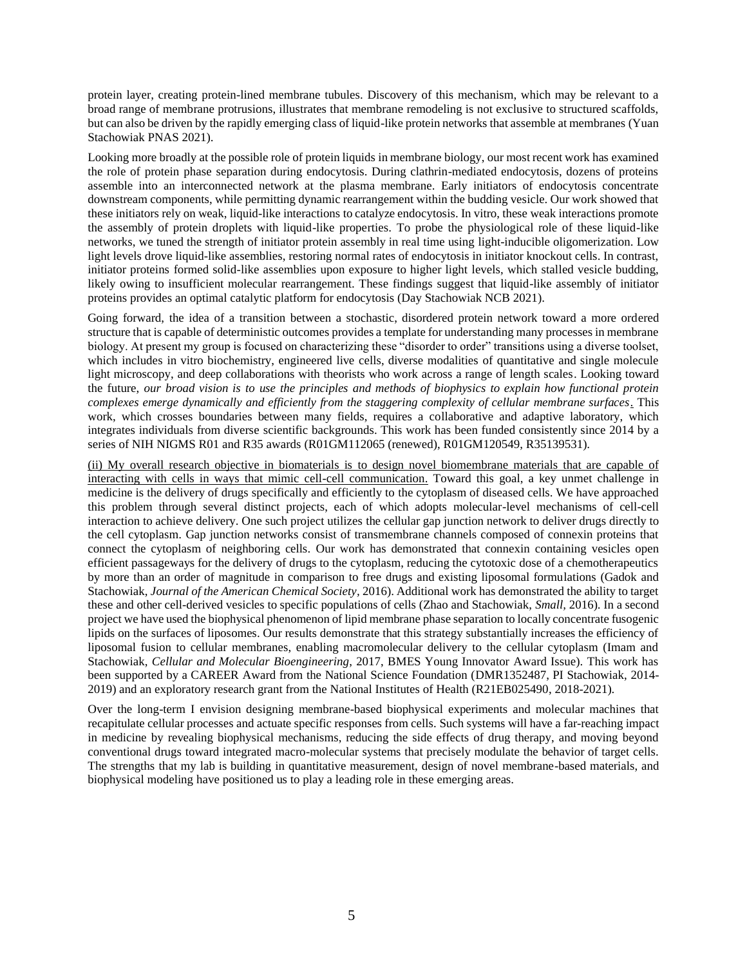protein layer, creating protein-lined membrane tubules. Discovery of this mechanism, which may be relevant to a broad range of membrane protrusions, illustrates that membrane remodeling is not exclusive to structured scaffolds, but can also be driven by the rapidly emerging class of liquid-like protein networks that assemble at membranes (Yuan Stachowiak PNAS 2021).

Looking more broadly at the possible role of protein liquids in membrane biology, our most recent work has examined the role of protein phase separation during endocytosis. During clathrin-mediated endocytosis, dozens of proteins assemble into an interconnected network at the plasma membrane. Early initiators of endocytosis concentrate downstream components, while permitting dynamic rearrangement within the budding vesicle. Our work showed that these initiators rely on weak, liquid-like interactions to catalyze endocytosis. In vitro, these weak interactions promote the assembly of protein droplets with liquid-like properties. To probe the physiological role of these liquid-like networks, we tuned the strength of initiator protein assembly in real time using light-inducible oligomerization. Low light levels drove liquid-like assemblies, restoring normal rates of endocytosis in initiator knockout cells. In contrast, initiator proteins formed solid-like assemblies upon exposure to higher light levels, which stalled vesicle budding, likely owing to insufficient molecular rearrangement. These findings suggest that liquid-like assembly of initiator proteins provides an optimal catalytic platform for endocytosis (Day Stachowiak NCB 2021).

Going forward, the idea of a transition between a stochastic, disordered protein network toward a more ordered structure that is capable of deterministic outcomes provides a template for understanding many processes in membrane biology. At present my group is focused on characterizing these "disorder to order" transitions using a diverse toolset, which includes in vitro biochemistry, engineered live cells, diverse modalities of quantitative and single molecule light microscopy, and deep collaborations with theorists who work across a range of length scales. Looking toward the future, *our broad vision is to use the principles and methods of biophysics to explain how functional protein complexes emerge dynamically and efficiently from the staggering complexity of cellular membrane surfaces.* This work, which crosses boundaries between many fields, requires a collaborative and adaptive laboratory, which integrates individuals from diverse scientific backgrounds. This work has been funded consistently since 2014 by a series of NIH NIGMS R01 and R35 awards (R01GM112065 (renewed), R01GM120549, R35139531).

(ii) My overall research objective in biomaterials is to design novel biomembrane materials that are capable of interacting with cells in ways that mimic cell-cell communication. Toward this goal, a key unmet challenge in medicine is the delivery of drugs specifically and efficiently to the cytoplasm of diseased cells. We have approached this problem through several distinct projects, each of which adopts molecular-level mechanisms of cell-cell interaction to achieve delivery. One such project utilizes the cellular gap junction network to deliver drugs directly to the cell cytoplasm. Gap junction networks consist of transmembrane channels composed of connexin proteins that connect the cytoplasm of neighboring cells. Our work has demonstrated that connexin containing vesicles open efficient passageways for the delivery of drugs to the cytoplasm, reducing the cytotoxic dose of a chemotherapeutics by more than an order of magnitude in comparison to free drugs and existing liposomal formulations (Gadok and Stachowiak, *Journal of the American Chemical Society,* 2016). Additional work has demonstrated the ability to target these and other cell-derived vesicles to specific populations of cells (Zhao and Stachowiak, *Small,* 2016). In a second project we have used the biophysical phenomenon of lipid membrane phase separation to locally concentrate fusogenic lipids on the surfaces of liposomes. Our results demonstrate that this strategy substantially increases the efficiency of liposomal fusion to cellular membranes, enabling macromolecular delivery to the cellular cytoplasm (Imam and Stachowiak, *Cellular and Molecular Bioengineering*, 2017, BMES Young Innovator Award Issue). This work has been supported by a CAREER Award from the National Science Foundation (DMR1352487, PI Stachowiak, 2014- 2019) and an exploratory research grant from the National Institutes of Health (R21EB025490, 2018-2021).

Over the long-term I envision designing membrane-based biophysical experiments and molecular machines that recapitulate cellular processes and actuate specific responses from cells. Such systems will have a far-reaching impact in medicine by revealing biophysical mechanisms, reducing the side effects of drug therapy, and moving beyond conventional drugs toward integrated macro-molecular systems that precisely modulate the behavior of target cells. The strengths that my lab is building in quantitative measurement, design of novel membrane-based materials, and biophysical modeling have positioned us to play a leading role in these emerging areas.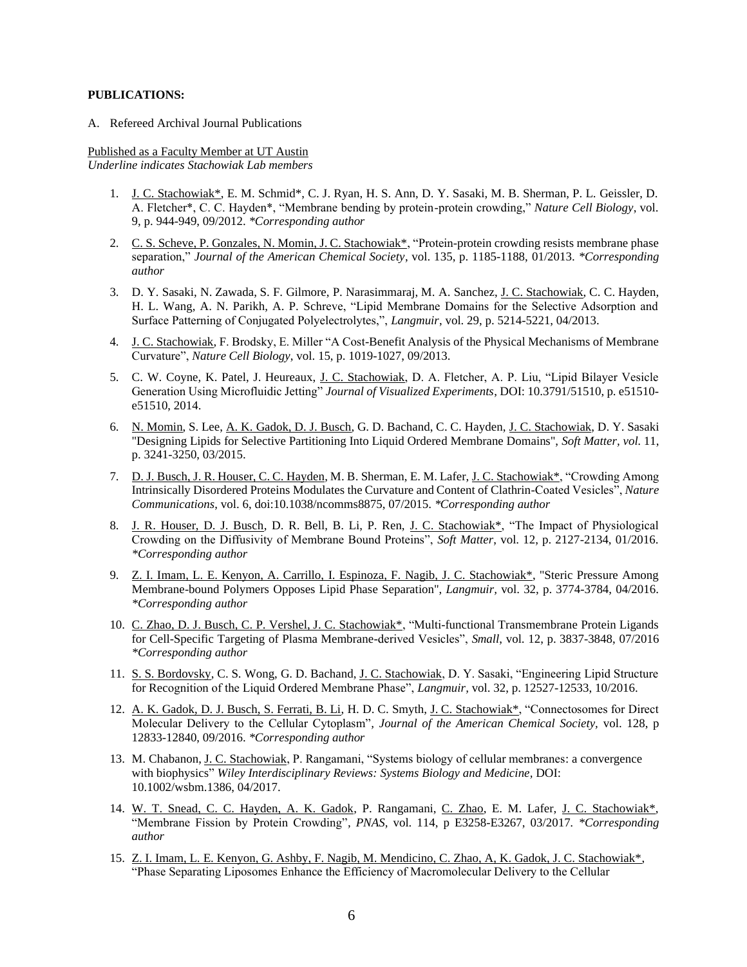## **PUBLICATIONS:**

A. Refereed Archival Journal Publications

Published as a Faculty Member at UT Austin *Underline indicates Stachowiak Lab members*

- 1. J. C. Stachowiak\*, E. M. Schmid\*, C. J. Ryan, H. S. Ann, D. Y. Sasaki, M. B. Sherman, P. L. Geissler, D. A. Fletcher\*, C. C. Hayden\*, "Membrane bending by protein-protein crowding," *Nature Cell Biology*, vol. 9, p. 944-949, 09/2012. *\*Corresponding author*
- 2. C. S. Scheve, P. Gonzales, N. Momin, J. C. Stachowiak\*, "Protein-protein crowding resists membrane phase separation," *Journal of the American Chemical Society*, vol. 135, p. 1185-1188, 01/2013. *\*Corresponding author*
- 3. D. Y. Sasaki, N. Zawada, S. F. Gilmore, P. Narasimmaraj, M. A. Sanchez, J. C. Stachowiak, C. C. Hayden, H. L. Wang, A. N. Parikh, A. P. Schreve, "Lipid Membrane Domains for the Selective Adsorption and Surface Patterning of Conjugated Polyelectrolytes,", *Langmuir*, vol. 29, p. 5214-5221, 04/2013.
- 4. J. C. Stachowiak, F. Brodsky, E. Miller "A Cost-Benefit Analysis of the Physical Mechanisms of Membrane Curvature", *Nature Cell Biology*, vol. 15, p. 1019-1027, 09/2013.
- 5. C. W. Coyne, K. Patel, J. Heureaux, J. C. Stachowiak, D. A. Fletcher, A. P. Liu, "Lipid Bilayer Vesicle Generation Using Microfluidic Jetting" *Journal of Visualized Experiments*, DOI: 10.3791/51510, p. e51510 e51510, 2014.
- 6. N. Momin, S. Lee, A. K. Gadok, D. J. Busch, G. D. Bachand, C. C. Hayden, J. C. Stachowiak, D. Y. Sasaki "Designing Lipids for Selective Partitioning Into Liquid Ordered Membrane Domains", *Soft Matter, vol.* 11, p. 3241-3250, 03/2015.
- 7. D. J. Busch, J. R. Houser, C. C. Hayden, M. B. Sherman, E. M. Lafer, J. C. Stachowiak\*, "Crowding Among Intrinsically Disordered Proteins Modulates the Curvature and Content of Clathrin-Coated Vesicles", *Nature Communications*, vol. 6, doi:10.1038/ncomms8875, 07/2015. *\*Corresponding author*
- 8. J. R. Houser, D. J. Busch, D. R. Bell, B. Li, P. Ren, J. C. Stachowiak\*, "The Impact of Physiological Crowding on the Diffusivity of Membrane Bound Proteins", *Soft Matter*, vol. 12, p. 2127-2134, 01/2016. *\*Corresponding author*
- 9. Z. I. Imam, L. E. Kenyon, A. Carrillo, I. Espinoza, F. Nagib, J. C. Stachowiak\*, "Steric Pressure Among Membrane-bound Polymers Opposes Lipid Phase Separation", *Langmuir,* vol. 32, p. 3774-3784, 04/2016. *\*Corresponding author*
- 10. C. Zhao, D. J. Busch, C. P. Vershel, J. C. Stachowiak\*, "Multi-functional Transmembrane Protein Ligands for Cell-Specific Targeting of Plasma Membrane-derived Vesicles", *Small*, vol. 12, p. 3837-3848, 07/2016 *\*Corresponding author*
- 11. S. S. Bordovsky, C. S. Wong, G. D. Bachand, J. C. Stachowiak, D. Y. Sasaki, "Engineering Lipid Structure for Recognition of the Liquid Ordered Membrane Phase", *Langmuir,* vol. 32, p. 12527-12533, 10/2016.
- 12. A. K. Gadok, D. J. Busch, S. Ferrati, B. Li, H. D. C. Smyth, J. C. Stachowiak\*, "Connectosomes for Direct Molecular Delivery to the Cellular Cytoplasm"*, Journal of the American Chemical Society,* vol. 128, p 12833-12840, 09/2016. *\*Corresponding author*
- 13. M. Chabanon, J. C. Stachowiak, P. Rangamani, "Systems biology of cellular membranes: a convergence with biophysics" *Wiley Interdisciplinary Reviews: Systems Biology and Medicine,* DOI: 10.1002/wsbm.1386, 04/2017.
- 14. W. T. Snead, C. C. Hayden, A. K. Gadok, P. Rangamani, C. Zhao, E. M. Lafer, J. C. Stachowiak\*, "Membrane Fission by Protein Crowding"*, PNAS,* vol. 114, p E3258-E3267, 03/2017*. \*Corresponding author*
- 15. Z. I. Imam, L. E. Kenyon, G. Ashby, F. Nagib, M. Mendicino, C. Zhao, A, K. Gadok, J. C. Stachowiak\*, "Phase Separating Liposomes Enhance the Efficiency of Macromolecular Delivery to the Cellular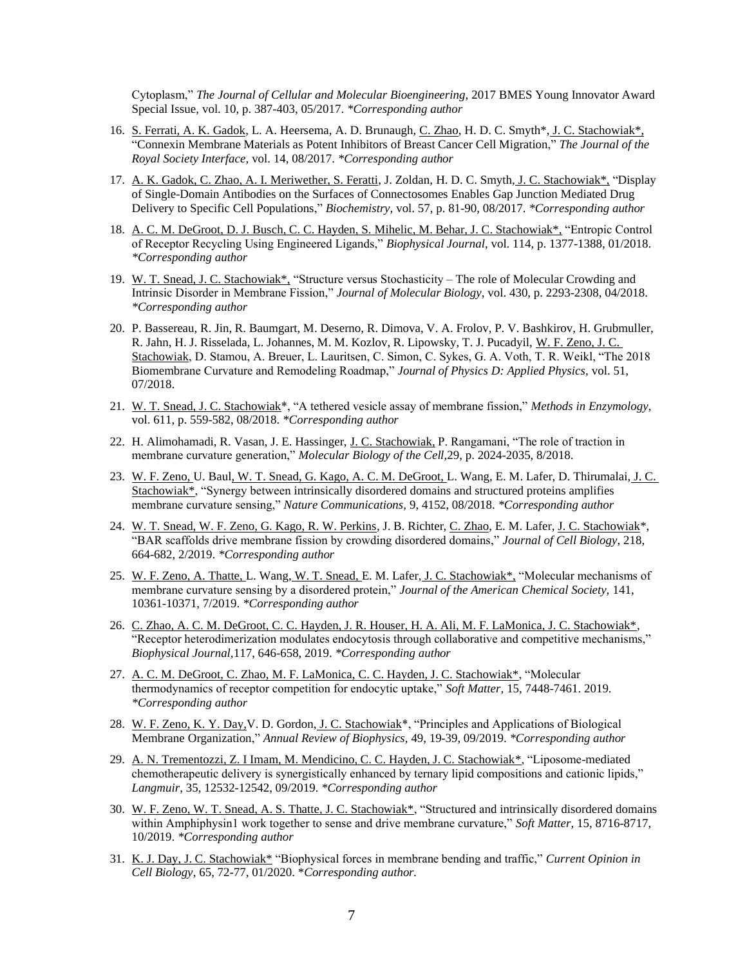Cytoplasm," *The Journal of Cellular and Molecular Bioengineering,* 2017 BMES Young Innovator Award Special Issue, vol. 10, p. 387-403, 05/2017. *\*Corresponding author*

- 16. S. Ferrati, A. K. Gadok, L. A. Heersema, A. D. Brunaugh, C. Zhao, H. D. C. Smyth\*, J. C. Stachowiak\*, "Connexin Membrane Materials as Potent Inhibitors of Breast Cancer Cell Migration," *The Journal of the Royal Society Interface,* vol. 14, 08/2017. *\*Corresponding author*
- 17. A. K. Gadok, C. Zhao, A. I. Meriwether, S. Feratti, J. Zoldan, H. D. C. Smyth, J. C. Stachowiak\*, "Display of Single-Domain Antibodies on the Surfaces of Connectosomes Enables Gap Junction Mediated Drug Delivery to Specific Cell Populations," *Biochemistry,* vol. 57, p. 81-90, 08/2017. *\*Corresponding author*
- 18. A. C. M. DeGroot, D. J. Busch, C. C. Hayden, S. Mihelic, M. Behar, J. C. Stachowiak\*, "Entropic Control of Receptor Recycling Using Engineered Ligands," *Biophysical Journal*, vol. 114, p. 1377-1388, 01/2018. *\*Corresponding author*
- 19. W. T. Snead, J. C. Stachowiak\*, "Structure versus Stochasticity The role of Molecular Crowding and Intrinsic Disorder in Membrane Fission," *Journal of Molecular Biology*, vol. 430, p. 2293-2308, 04/2018. *\*Corresponding author*
- 20. P. Bassereau, R. Jin, R. Baumgart, M. Deserno, R. Dimova, V. A. Frolov, P. V. Bashkirov, H. Grubmuller, R. Jahn, H. J. Risselada, L. Johannes, M. M. Kozlov, R. Lipowsky, T. J. Pucadyil, W. F. Zeno, J. C. Stachowiak, D. Stamou, A. Breuer, L. Lauritsen, C. Simon, C. Sykes, G. A. Voth, T. R. Weikl, "The 2018 Biomembrane Curvature and Remodeling Roadmap," *Journal of Physics D: Applied Physics,* vol. 51, 07/2018.
- 21. W. T. Snead, J. C. Stachowiak\*, "A tethered vesicle assay of membrane fission," *Methods in Enzymology,* vol. 611, p. 559-582, 08/2018. *\*Corresponding author*
- 22. H. Alimohamadi, R. Vasan, J. E. Hassinger, J. C. Stachowiak, P. Rangamani, "The role of traction in membrane curvature generation," *Molecular Biology of the Cell,*29, p. 2024-2035, 8/2018.
- 23. W. F. Zeno, U. Baul, W. T. Snead, G. Kago, A. C. M. DeGroot, L. Wang, E. M. Lafer, D. Thirumalai, J. C. Stachowiak\*, "Synergy between intrinsically disordered domains and structured proteins amplifies membrane curvature sensing," *Nature Communications,* 9, 4152, 08/2018. *\*Corresponding author*
- 24. W. T. Snead, W. F. Zeno, G. Kago, R. W. Perkins, J. B. Richter, C. Zhao, E. M. Lafer, J. C. Stachowiak\*, "BAR scaffolds drive membrane fission by crowding disordered domains," *Journal of Cell Biology*, 218, 664-682, 2/2019. *\*Corresponding author*
- 25. W. F. Zeno, A. Thatte, L. Wang, W. T. Snead, E. M. Lafer, J. C. Stachowiak\*, "Molecular mechanisms of membrane curvature sensing by a disordered protein," *Journal of the American Chemical Society,* 141, 10361-10371, 7/2019. *\*Corresponding author*
- 26. C. Zhao, A. C. M. DeGroot, C. C. Hayden, J. R. Houser, H. A. Ali, M. F. LaMonica, J. C. Stachowiak\*, "Receptor heterodimerization modulates endocytosis through collaborative and competitive mechanisms," *Biophysical Journal,*117, 646-658, 2019. *\*Corresponding author*
- 27. A. C. M. DeGroot, C. Zhao, M. F. LaMonica, C. C. Hayden, J. C. Stachowiak\*, "Molecular thermodynamics of receptor competition for endocytic uptake," *Soft Matter,* 15, 7448-7461. 2019. *\*Corresponding author*
- 28. W. F. Zeno, K. Y. Day, V. D. Gordon, J. C. Stachowiak<sup>\*</sup>, "Principles and Applications of Biological Membrane Organization," *Annual Review of Biophysics,* 49, 19-39, 09/2019. *\*Corresponding author*
- 29. A. N. Trementozzi, Z. I Imam, M. Mendicino, C. C. Hayden, J. C. Stachowiak\*, "Liposome-mediated chemotherapeutic delivery is synergistically enhanced by ternary lipid compositions and cationic lipids," *Langmuir,* 35, 12532-12542, 09/2019. *\*Corresponding author*
- 30. W. F. Zeno, W. T. Snead, A. S. Thatte, J. C. Stachowiak\*, "Structured and intrinsically disordered domains within Amphiphysin1 work together to sense and drive membrane curvature," *Soft Matter,* 15, 8716-8717, 10/2019. *\*Corresponding author*
- 31. K. J. Day, J. C. Stachowiak\* "Biophysical forces in membrane bending and traffic," *Current Opinion in Cell Biology*, 65, 72-77, 01/2020. \**Corresponding author.*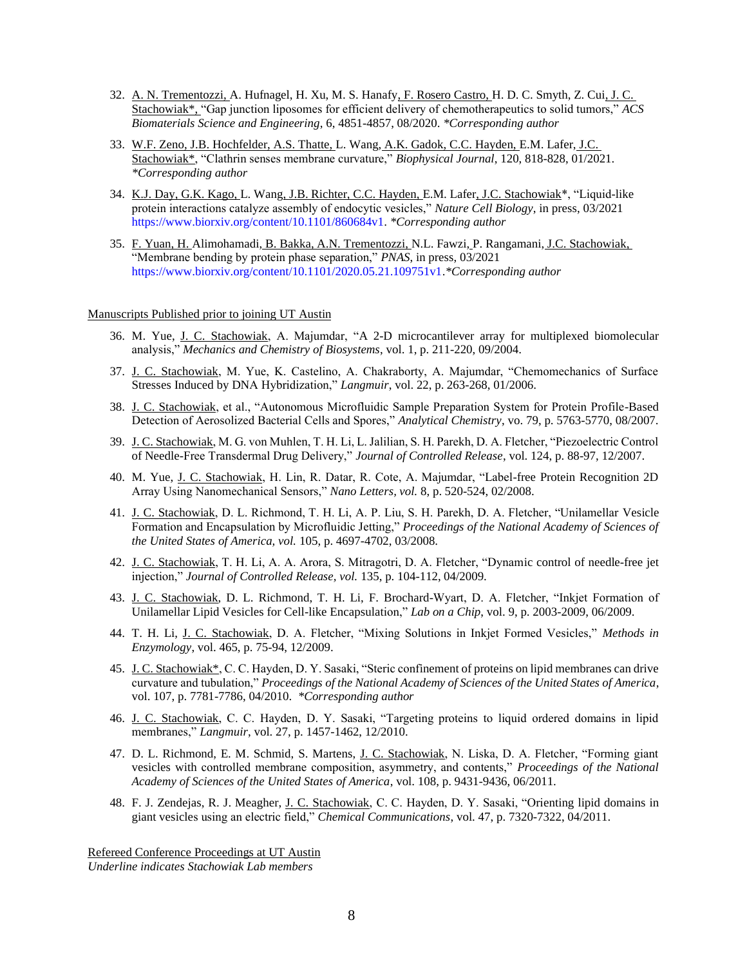- 32. A. N. Trementozzi, A. Hufnagel, H. Xu, M. S. Hanafy, F. Rosero Castro, H. D. C. Smyth, Z. Cui, J. C. Stachowiak\*, "Gap junction liposomes for efficient delivery of chemotherapeutics to solid tumors," *ACS Biomaterials Science and Engineering*, 6, 4851-4857, 08/2020. *\*Corresponding author*
- 33. W.F. Zeno, J.B. Hochfelder, A.S. Thatte, L. Wang, A.K. Gadok, C.C. Hayden, E.M. Lafer, J.C. Stachowiak\*, "Clathrin senses membrane curvature," *Biophysical Journal*, 120, 818-828, 01/2021. *\*Corresponding author*
- 34. K.J. Day, G.K. Kago, L. Wang, J.B. Richter, C.C. Hayden, E.M. Lafer, J.C. Stachowiak\*, "Liquid-like protein interactions catalyze assembly of endocytic vesicles," *Nature Cell Biology*, in press, 03/2021 [https://www.biorxiv.org/content/10.1101/860684v1.](https://www.biorxiv.org/content/10.1101/860684v1) *\*Corresponding author*
- 35. F. Yuan, H. Alimohamadi, B. Bakka, A.N. Trementozzi, N.L. Fawzi, P. Rangamani, J.C. Stachowiak, "Membrane bending by protein phase separation," *PNAS*, in press, 03/2021 [https://www.biorxiv.org/content/10.1101/2020.05.21.109751v1.](https://www.biorxiv.org/content/10.1101/2020.05.21.109751v1)*\*Corresponding author*

### Manuscripts Published prior to joining UT Austin

- 36. M. Yue, J. C. Stachowiak, A. Majumdar, "A 2-D microcantilever array for multiplexed biomolecular analysis," *Mechanics and Chemistry of Biosystems*, vol. 1, p. 211-220, 09/2004.
- 37. J. C. Stachowiak, M. Yue, K. Castelino, A. Chakraborty, A. Majumdar, "Chemomechanics of Surface Stresses Induced by DNA Hybridization," *Langmuir*, vol. 22, p. 263-268, 01/2006.
- 38. J. C. Stachowiak, et al., "Autonomous Microfluidic Sample Preparation System for Protein Profile-Based Detection of Aerosolized Bacterial Cells and Spores," *Analytical Chemistry*, vo. 79, p. 5763-5770, 08/2007.
- 39. J. C. Stachowiak, M. G. von Muhlen, T. H. Li, L. Jalilian, S. H. Parekh, D. A. Fletcher, "Piezoelectric Control of Needle-Free Transdermal Drug Delivery," *Journal of Controlled Release*, vol. 124, p. 88-97, 12/2007.
- 40. M. Yue, J. C. Stachowiak, H. Lin, R. Datar, R. Cote, A. Majumdar, "Label-free Protein Recognition 2D Array Using Nanomechanical Sensors," *Nano Letters, vol.* 8, p. 520-524, 02/2008.
- 41. J. C. Stachowiak, D. L. Richmond, T. H. Li, A. P. Liu, S. H. Parekh, D. A. Fletcher, "Unilamellar Vesicle Formation and Encapsulation by Microfluidic Jetting," *Proceedings of the National Academy of Sciences of the United States of America, vol.* 105, p. 4697-4702, 03/2008.
- 42. J. C. Stachowiak, T. H. Li, A. A. Arora, S. Mitragotri, D. A. Fletcher, "Dynamic control of needle-free jet injection," *Journal of Controlled Release, vol.* 135, p. 104-112, 04/2009.
- 43. J. C. Stachowiak, D. L. Richmond, T. H. Li, F. Brochard-Wyart, D. A. Fletcher, "Inkjet Formation of Unilamellar Lipid Vesicles for Cell-like Encapsulation," *Lab on a Chip*, vol. 9, p. 2003-2009, 06/2009.
- 44. T. H. Li, J. C. Stachowiak, D. A. Fletcher, "Mixing Solutions in Inkjet Formed Vesicles," *Methods in Enzymology*, vol. 465, p. 75-94, 12/2009.
- 45. J. C. Stachowiak\*, C. C. Hayden, D. Y. Sasaki, "Steric confinement of proteins on lipid membranes can drive curvature and tubulation," *Proceedings of the National Academy of Sciences of the United States of America*, vol. 107, p. 7781-7786, 04/2010. *\*Corresponding author*
- 46. J. C. Stachowiak, C. C. Hayden, D. Y. Sasaki, "Targeting proteins to liquid ordered domains in lipid membranes," *Langmuir*, vol. 27, p. 1457-1462, 12/2010.
- 47. D. L. Richmond, E. M. Schmid, S. Martens, J. C. Stachowiak, N. Liska, D. A. Fletcher, "Forming giant vesicles with controlled membrane composition, asymmetry, and contents," *Proceedings of the National Academy of Sciences of the United States of America*, vol. 108, p. 9431-9436, 06/2011.
- 48. F. J. Zendejas, R. J. Meagher, J. C. Stachowiak, C. C. Hayden, D. Y. Sasaki, "Orienting lipid domains in giant vesicles using an electric field," *Chemical Communications*, vol. 47, p. 7320-7322, 04/2011.

Refereed Conference Proceedings at UT Austin *Underline indicates Stachowiak Lab members*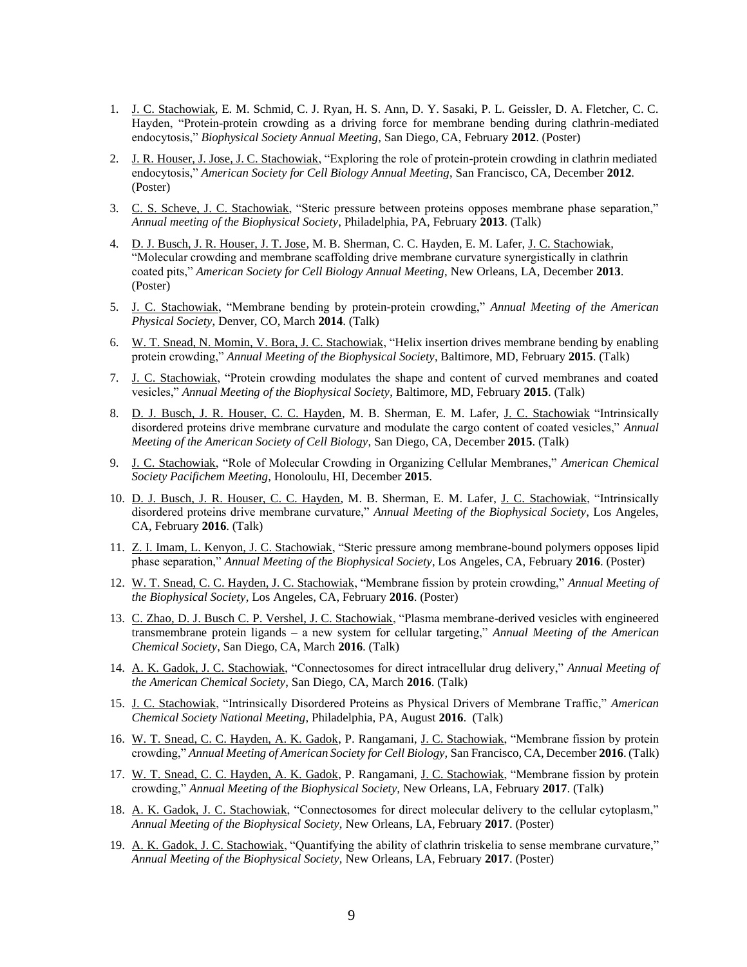- 1. J. C. Stachowiak, E. M. Schmid, C. J. Ryan, H. S. Ann, D. Y. Sasaki, P. L. Geissler, D. A. Fletcher, C. C. Hayden, "Protein-protein crowding as a driving force for membrane bending during clathrin-mediated endocytosis," *Biophysical Society Annual Meeting*, San Diego, CA, February **2012**. (Poster)
- 2. J. R. Houser, J. Jose, J. C. Stachowiak, "Exploring the role of protein-protein crowding in clathrin mediated endocytosis," *American Society for Cell Biology Annual Meeting*, San Francisco, CA, December **2012**. (Poster)
- 3. C. S. Scheve, J. C. Stachowiak, "Steric pressure between proteins opposes membrane phase separation," *Annual meeting of the Biophysical Society*, Philadelphia, PA, February **2013**. (Talk)
- 4. D. J. Busch, J. R. Houser, J. T. Jose, M. B. Sherman, C. C. Hayden, E. M. Lafer, J. C. Stachowiak, "Molecular crowding and membrane scaffolding drive membrane curvature synergistically in clathrin coated pits," *American Society for Cell Biology Annual Meeting*, New Orleans, LA, December **2013**. (Poster)
- 5. J. C. Stachowiak, "Membrane bending by protein-protein crowding," *Annual Meeting of the American Physical Society*, Denver, CO, March **2014**. (Talk)
- 6. W. T. Snead, N. Momin, V. Bora, J. C. Stachowiak, "Helix insertion drives membrane bending by enabling protein crowding," *Annual Meeting of the Biophysical Society*, Baltimore, MD, February **2015**. (Talk)
- 7. J. C. Stachowiak, "Protein crowding modulates the shape and content of curved membranes and coated vesicles," *Annual Meeting of the Biophysical Society*, Baltimore, MD, February **2015**. (Talk)
- 8. D. J. Busch, J. R. Houser, C. C. Hayden, M. B. Sherman, E. M. Lafer, J. C. Stachowiak "Intrinsically disordered proteins drive membrane curvature and modulate the cargo content of coated vesicles," *Annual Meeting of the American Society of Cell Biology*, San Diego, CA, December **2015**. (Talk)
- 9. J. C. Stachowiak, "Role of Molecular Crowding in Organizing Cellular Membranes," *American Chemical Society Pacifichem Meeting*, Honoloulu, HI, December **2015**.
- 10. D. J. Busch, J. R. Houser, C. C. Hayden, M. B. Sherman, E. M. Lafer, J. C. Stachowiak, "Intrinsically disordered proteins drive membrane curvature," *Annual Meeting of the Biophysical Society*, Los Angeles, CA, February **2016**. (Talk)
- 11. Z. I. Imam, L. Kenyon, J. C. Stachowiak, "Steric pressure among membrane-bound polymers opposes lipid phase separation," *Annual Meeting of the Biophysical Society*, Los Angeles, CA, February **2016**. (Poster)
- 12. W. T. Snead, C. C. Hayden, J. C. Stachowiak, "Membrane fission by protein crowding," *Annual Meeting of the Biophysical Society*, Los Angeles, CA, February **2016**. (Poster)
- 13. C. Zhao, D. J. Busch C. P. Vershel, J. C. Stachowiak, "Plasma membrane-derived vesicles with engineered transmembrane protein ligands – a new system for cellular targeting," *Annual Meeting of the American Chemical Society*, San Diego, CA, March **2016**. (Talk)
- 14. A. K. Gadok, J. C. Stachowiak, "Connectosomes for direct intracellular drug delivery," *Annual Meeting of the American Chemical Society*, San Diego, CA, March **2016**. (Talk)
- 15. J. C. Stachowiak, "Intrinsically Disordered Proteins as Physical Drivers of Membrane Traffic," *American Chemical Society National Meeting*, Philadelphia, PA, August **2016**. (Talk)
- 16. W. T. Snead, C. C. Hayden, A. K. Gadok, P. Rangamani, J. C. Stachowiak, "Membrane fission by protein crowding," *Annual Meeting of American Society for Cell Biology,* San Francisco, CA, December **2016**. (Talk)
- 17. W. T. Snead, C. C. Hayden, A. K. Gadok, P. Rangamani, J. C. Stachowiak, "Membrane fission by protein crowding," *Annual Meeting of the Biophysical Society,* New Orleans, LA, February **2017**. (Talk)
- 18. A. K. Gadok, J. C. Stachowiak, "Connectosomes for direct molecular delivery to the cellular cytoplasm," *Annual Meeting of the Biophysical Society,* New Orleans, LA, February **2017**. (Poster)
- 19. A. K. Gadok, J. C. Stachowiak, "Quantifying the ability of clathrin triskelia to sense membrane curvature," *Annual Meeting of the Biophysical Society,* New Orleans, LA, February **2017**. (Poster)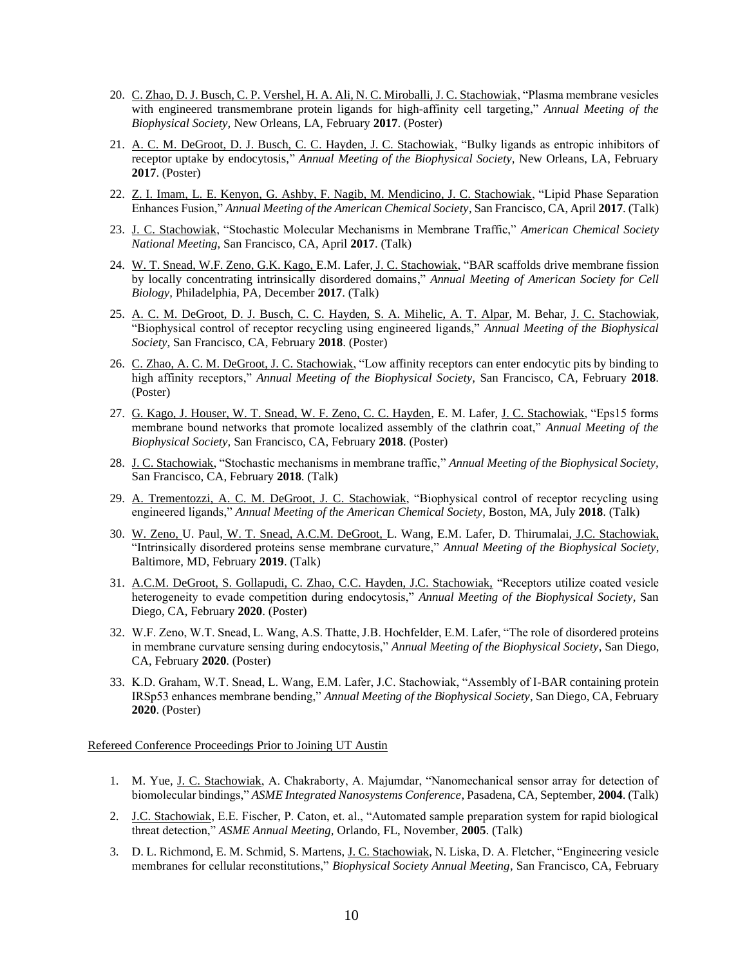- 20. C. Zhao, D. J. Busch, C. P. Vershel, H. A. Ali, N. C. Miroballi, J. C. Stachowiak, "Plasma membrane vesicles with engineered transmembrane protein ligands for high-affinity cell targeting," *Annual Meeting of the Biophysical Society,* New Orleans, LA, February **2017**. (Poster)
- 21. A. C. M. DeGroot, D. J. Busch, C. C. Hayden, J. C. Stachowiak, "Bulky ligands as entropic inhibitors of receptor uptake by endocytosis," *Annual Meeting of the Biophysical Society,* New Orleans, LA, February **2017**. (Poster)
- 22. Z. I. Imam, L. E. Kenyon, G. Ashby, F. Nagib, M. Mendicino, J. C. Stachowiak, "Lipid Phase Separation Enhances Fusion," *Annual Meeting of the American Chemical Society*, San Francisco, CA, April **2017**. (Talk)
- 23. J. C. Stachowiak, "Stochastic Molecular Mechanisms in Membrane Traffic," *American Chemical Society National Meeting*, San Francisco, CA, April **2017**. (Talk)
- 24. W. T. Snead, W.F. Zeno, G.K. Kago, E.M. Lafer, J. C. Stachowiak, "BAR scaffolds drive membrane fission by locally concentrating intrinsically disordered domains," *Annual Meeting of American Society for Cell Biology,* Philadelphia, PA, December **2017**. (Talk)
- 25. A. C. M. DeGroot, D. J. Busch, C. C. Hayden, S. A. Mihelic, A. T. Alpar, M. Behar, J. C. Stachowiak, "Biophysical control of receptor recycling using engineered ligands," *Annual Meeting of the Biophysical Society,* San Francisco, CA, February **2018**. (Poster)
- 26. C. Zhao, A. C. M. DeGroot, J. C. Stachowiak, "Low affinity receptors can enter endocytic pits by binding to high affinity receptors," *Annual Meeting of the Biophysical Society,* San Francisco, CA, February **2018**. (Poster)
- 27. G. Kago, J. Houser, W. T. Snead, W. F. Zeno, C. C. Hayden, E. M. Lafer, J. C. Stachowiak, "Eps15 forms membrane bound networks that promote localized assembly of the clathrin coat," *Annual Meeting of the Biophysical Society,* San Francisco, CA, February **2018**. (Poster)
- 28. J. C. Stachowiak, "Stochastic mechanisms in membrane traffic," *Annual Meeting of the Biophysical Society,*  San Francisco, CA, February **2018**. (Talk)
- 29. A. Trementozzi, A. C. M. DeGroot, J. C. Stachowiak, "Biophysical control of receptor recycling using engineered ligands," *Annual Meeting of the American Chemical Society,* Boston, MA, July **2018**. (Talk)
- 30. W. Zeno, U. Paul, W. T. Snead, A.C.M. DeGroot, L. Wang, E.M. Lafer, D. Thirumalai, J.C. Stachowiak, "Intrinsically disordered proteins sense membrane curvature," *Annual Meeting of the Biophysical Society*, Baltimore, MD, February **2019**. (Talk)
- 31. A.C.M. DeGroot, S. Gollapudi, C. Zhao, C.C. Hayden, J.C. Stachowiak, "Receptors utilize coated vesicle heterogeneity to evade competition during endocytosis," *Annual Meeting of the Biophysical Society*, San Diego, CA, February **2020**. (Poster)
- 32. W.F. Zeno, W.T. Snead, L. Wang, A.S. Thatte, J.B. Hochfelder, E.M. Lafer, "The role of disordered proteins in membrane curvature sensing during endocytosis," *Annual Meeting of the Biophysical Society*, San Diego, CA, February **2020**. (Poster)
- 33. K.D. Graham, W.T. Snead, L. Wang, E.M. Lafer, J.C. Stachowiak, "Assembly of I-BAR containing protein IRSp53 enhances membrane bending," *Annual Meeting of the Biophysical Society*, San Diego, CA, February **2020**. (Poster)

### Refereed Conference Proceedings Prior to Joining UT Austin

- 1. M. Yue, J. C. Stachowiak, A. Chakraborty, A. Majumdar, "Nanomechanical sensor array for detection of biomolecular bindings," *ASME Integrated Nanosystems Conference*, Pasadena, CA, September, **2004**. (Talk)
- 2. J.C. Stachowiak, E.E. Fischer, P. Caton, et. al., "Automated sample preparation system for rapid biological threat detection," *ASME Annual Meeting,* Orlando, FL, November, **2005**. (Talk)
- 3. D. L. Richmond, E. M. Schmid, S. Martens, J. C. Stachowiak, N. Liska, D. A. Fletcher, "Engineering vesicle membranes for cellular reconstitutions," *Biophysical Society Annual Meeting*, San Francisco, CA, February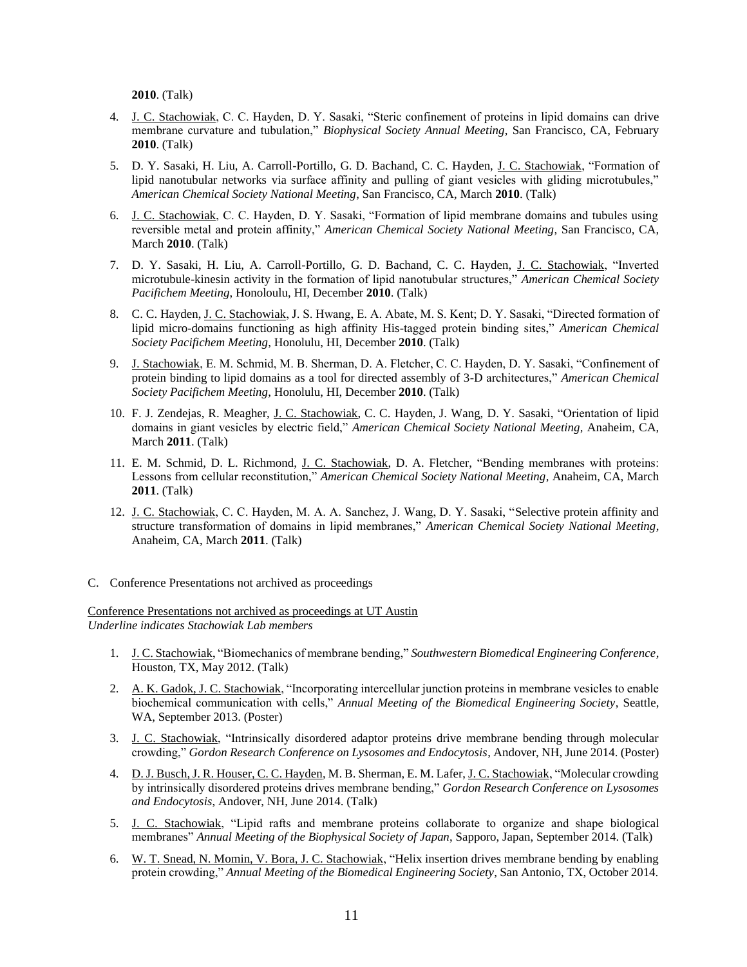**2010**. (Talk)

- 4. J. C. Stachowiak, C. C. Hayden, D. Y. Sasaki, "Steric confinement of proteins in lipid domains can drive membrane curvature and tubulation," *Biophysical Society Annual Meeting*, San Francisco, CA, February **2010**. (Talk)
- 5. D. Y. Sasaki, H. Liu, A. Carroll-Portillo, G. D. Bachand, C. C. Hayden, J. C. Stachowiak, "Formation of lipid nanotubular networks via surface affinity and pulling of giant vesicles with gliding microtubules," *American Chemical Society National Meeting*, San Francisco, CA, March **2010**. (Talk)
- 6. J. C. Stachowiak, C. C. Hayden, D. Y. Sasaki, "Formation of lipid membrane domains and tubules using reversible metal and protein affinity," *American Chemical Society National Meeting*, San Francisco, CA, March **2010**. (Talk)
- 7. D. Y. Sasaki, H. Liu, A. Carroll-Portillo, G. D. Bachand, C. C. Hayden, J. C. Stachowiak, "Inverted microtubule-kinesin activity in the formation of lipid nanotubular structures," *American Chemical Society Pacifichem Meeting*, Honoloulu, HI, December **2010**. (Talk)
- 8. C. C. Hayden, J. C. Stachowiak, J. S. Hwang, E. A. Abate, M. S. Kent; D. Y. Sasaki, "Directed formation of lipid micro-domains functioning as high affinity His-tagged protein binding sites," *American Chemical Society Pacifichem Meeting*, Honolulu, HI, December **2010**. (Talk)
- 9. J. Stachowiak, E. M. Schmid, M. B. Sherman, D. A. Fletcher, C. C. Hayden, D. Y. Sasaki, "Confinement of protein binding to lipid domains as a tool for directed assembly of 3-D architectures," *American Chemical Society Pacifichem Meeting*, Honolulu, HI, December **2010**. (Talk)
- 10. F. J. Zendejas, R. Meagher, J. C. Stachowiak, C. C. Hayden, J. Wang, D. Y. Sasaki, "Orientation of lipid domains in giant vesicles by electric field," *American Chemical Society National Meeting*, Anaheim, CA, March **2011**. (Talk)
- 11. E. M. Schmid, D. L. Richmond, J. C. Stachowiak, D. A. Fletcher, "Bending membranes with proteins: Lessons from cellular reconstitution," *American Chemical Society National Meeting*, Anaheim, CA, March **2011**. (Talk)
- 12. J. C. Stachowiak, C. C. Hayden, M. A. A. Sanchez, J. Wang, D. Y. Sasaki, "Selective protein affinity and structure transformation of domains in lipid membranes," *American Chemical Society National Meeting*, Anaheim, CA, March **2011**. (Talk)
- C. Conference Presentations not archived as proceedings

Conference Presentations not archived as proceedings at UT Austin *Underline indicates Stachowiak Lab members*

- 1. J. C. Stachowiak, "Biomechanics of membrane bending," *Southwestern Biomedical Engineering Conference*, Houston, TX, May 2012. (Talk)
- 2. A. K. Gadok, J. C. Stachowiak, "Incorporating intercellular junction proteins in membrane vesicles to enable biochemical communication with cells," *Annual Meeting of the Biomedical Engineering Society*, Seattle, WA, September 2013. (Poster)
- 3. J. C. Stachowiak, "Intrinsically disordered adaptor proteins drive membrane bending through molecular crowding," *Gordon Research Conference on Lysosomes and Endocytosis*, Andover, NH, June 2014. (Poster)
- 4. D. J. Busch, J. R. Houser, C. C. Hayden, M. B. Sherman, E. M. Lafer, J. C. Stachowiak, "Molecular crowding by intrinsically disordered proteins drives membrane bending," *Gordon Research Conference on Lysosomes and Endocytosis*, Andover, NH, June 2014. (Talk)
- 5. J. C. Stachowiak, "Lipid rafts and membrane proteins collaborate to organize and shape biological membranes" *Annual Meeting of the Biophysical Society of Japan*, Sapporo, Japan, September 2014. (Talk)
- 6. W. T. Snead, N. Momin, V. Bora, J. C. Stachowiak, "Helix insertion drives membrane bending by enabling protein crowding," *Annual Meeting of the Biomedical Engineering Society*, San Antonio, TX, October 2014.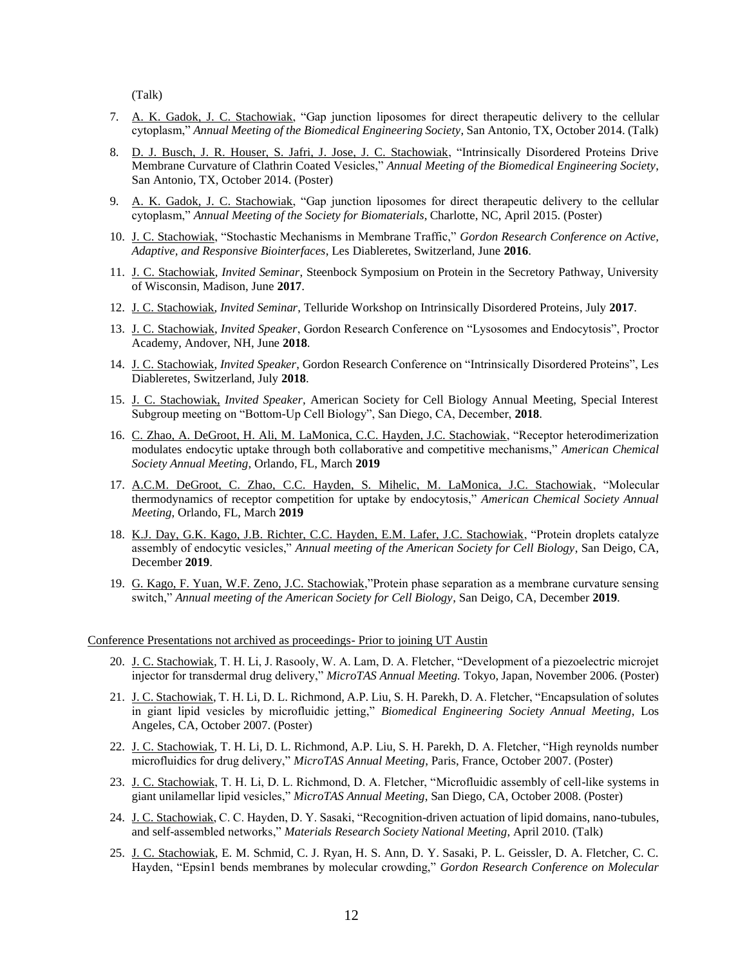(Talk)

- 7. A. K. Gadok, J. C. Stachowiak, "Gap junction liposomes for direct therapeutic delivery to the cellular cytoplasm," *Annual Meeting of the Biomedical Engineering Society*, San Antonio, TX, October 2014. (Talk)
- 8. D. J. Busch, J. R. Houser, S. Jafri, J. Jose, J. C. Stachowiak, "Intrinsically Disordered Proteins Drive Membrane Curvature of Clathrin Coated Vesicles," *Annual Meeting of the Biomedical Engineering Society*, San Antonio, TX, October 2014. (Poster)
- 9. A. K. Gadok, J. C. Stachowiak, "Gap junction liposomes for direct therapeutic delivery to the cellular cytoplasm," *Annual Meeting of the Society for Biomaterials*, Charlotte, NC, April 2015. (Poster)
- 10. J. C. Stachowiak, "Stochastic Mechanisms in Membrane Traffic," *Gordon Research Conference on Active, Adaptive, and Responsive Biointerfaces*, Les Diableretes, Switzerland, June **2016**.
- 11. J. C. Stachowiak, *Invited Seminar*, Steenbock Symposium on Protein in the Secretory Pathway, University of Wisconsin, Madison, June **2017**.
- 12. J. C. Stachowiak, *Invited Seminar*, Telluride Workshop on Intrinsically Disordered Proteins, July **2017**.
- 13. J. C. Stachowiak, *Invited Speaker*, Gordon Research Conference on "Lysosomes and Endocytosis", Proctor Academy, Andover, NH, June **2018**.
- 14. J. C. Stachowiak, *Invited Speaker*, Gordon Research Conference on "Intrinsically Disordered Proteins", Les Diableretes, Switzerland, July **2018**.
- 15. J. C. Stachowiak, *Invited Speaker,* American Society for Cell Biology Annual Meeting, Special Interest Subgroup meeting on "Bottom-Up Cell Biology", San Diego, CA, December, **2018**.
- 16. C. Zhao, A. DeGroot, H. Ali, M. LaMonica, C.C. Hayden, J.C. Stachowiak, "Receptor heterodimerization modulates endocytic uptake through both collaborative and competitive mechanisms," *American Chemical Society Annual Meeting*, Orlando, FL, March **2019**
- 17. A.C.M. DeGroot, C. Zhao, C.C. Hayden, S. Mihelic, M. LaMonica, J.C. Stachowiak, "Molecular thermodynamics of receptor competition for uptake by endocytosis," *American Chemical Society Annual Meeting*, Orlando, FL, March **2019**
- 18. K.J. Day, G.K. Kago, J.B. Richter, C.C. Hayden, E.M. Lafer, J.C. Stachowiak, "Protein droplets catalyze assembly of endocytic vesicles," *Annual meeting of the American Society for Cell Biology*, San Deigo, CA, December **2019**.
- 19. G. Kago, F. Yuan, W.F. Zeno, J.C. Stachowiak,"Protein phase separation as a membrane curvature sensing switch," *Annual meeting of the American Society for Cell Biology*, San Deigo, CA, December **2019**.

#### Conference Presentations not archived as proceedings- Prior to joining UT Austin

- 20. J. C. Stachowiak, T. H. Li, J. Rasooly, W. A. Lam, D. A. Fletcher, "Development of a piezoelectric microjet injector for transdermal drug delivery," *MicroTAS Annual Meeting.* Tokyo, Japan, November 2006. (Poster)
- 21. J. C. Stachowiak, T. H. Li, D. L. Richmond, A.P. Liu, S. H. Parekh, D. A. Fletcher, "Encapsulation of solutes in giant lipid vesicles by microfluidic jetting," *Biomedical Engineering Society Annual Meeting*, Los Angeles, CA, October 2007. (Poster)
- 22. J. C. Stachowiak, T. H. Li, D. L. Richmond, A.P. Liu, S. H. Parekh, D. A. Fletcher, "High reynolds number microfluidics for drug delivery," *MicroTAS Annual Meeting*, Paris, France, October 2007. (Poster)
- 23. J. C. Stachowiak, T. H. Li, D. L. Richmond, D. A. Fletcher, "Microfluidic assembly of cell-like systems in giant unilamellar lipid vesicles," *MicroTAS Annual Meeting*, San Diego, CA, October 2008. (Poster)
- 24. J. C. Stachowiak, C. C. Hayden, D. Y. Sasaki, "Recognition-driven actuation of lipid domains, nano-tubules, and self-assembled networks," *Materials Research Society National Meeting*, April 2010. (Talk)
- 25. J. C. Stachowiak, E. M. Schmid, C. J. Ryan, H. S. Ann, D. Y. Sasaki, P. L. Geissler, D. A. Fletcher, C. C. Hayden, "Epsin1 bends membranes by molecular crowding," *Gordon Research Conference on Molecular*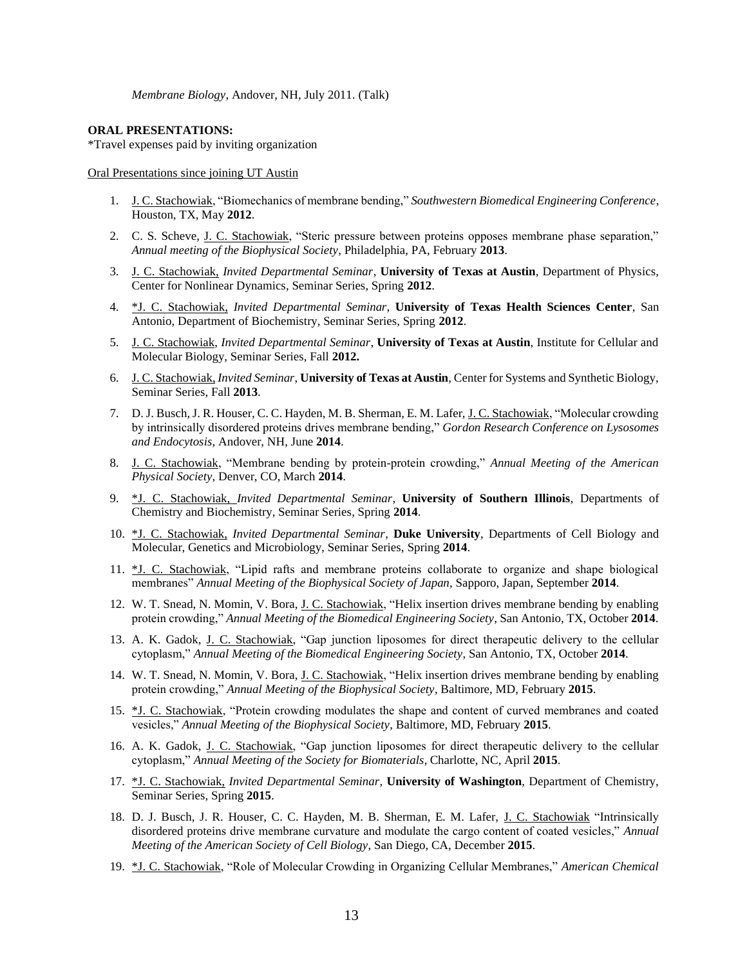*Membrane Biology*, Andover, NH, July 2011. (Talk)

### **ORAL PRESENTATIONS:**

\*Travel expenses paid by inviting organization

Oral Presentations since joining UT Austin

- 1. J. C. Stachowiak, "Biomechanics of membrane bending," *Southwestern Biomedical Engineering Conference*, Houston, TX, May **2012**.
- 2. C. S. Scheve, J. C. Stachowiak, "Steric pressure between proteins opposes membrane phase separation," *Annual meeting of the Biophysical Society*, Philadelphia, PA, February **2013**.
- 3. J. C. Stachowiak, *Invited Departmental Seminar*, **University of Texas at Austin**, Department of Physics, Center for Nonlinear Dynamics, Seminar Series, Spring **2012**.
- 4. \*J. C. Stachowiak, *Invited Departmental Seminar*, **University of Texas Health Sciences Center**, San Antonio, Department of Biochemistry, Seminar Series, Spring **2012**.
- 5. J. C. Stachowiak, *Invited Departmental Seminar*, **University of Texas at Austin**, Institute for Cellular and Molecular Biology, Seminar Series, Fall **2012.**
- 6. J. C. Stachowiak, *Invited Seminar*, **University of Texas at Austin**, Center for Systems and Synthetic Biology, Seminar Series, Fall **2013**.
- 7. D. J. Busch, J. R. Houser, C. C. Hayden, M. B. Sherman, E. M. Lafer, J. C. Stachowiak, "Molecular crowding by intrinsically disordered proteins drives membrane bending," *Gordon Research Conference on Lysosomes and Endocytosis*, Andover, NH, June **2014**.
- 8. J. C. Stachowiak, "Membrane bending by protein-protein crowding," *Annual Meeting of the American Physical Society*, Denver, CO, March **2014**.
- 9. \*J. C. Stachowiak, *Invited Departmental Seminar*, **University of Southern Illinois**, Departments of Chemistry and Biochemistry, Seminar Series, Spring **2014**.
- 10. \*J. C. Stachowiak, *Invited Departmental Seminar*, **Duke University**, Departments of Cell Biology and Molecular, Genetics and Microbiology, Seminar Series, Spring **2014**.
- 11. \*J. C. Stachowiak, "Lipid rafts and membrane proteins collaborate to organize and shape biological membranes" *Annual Meeting of the Biophysical Society of Japan*, Sapporo, Japan, September **2014**.
- 12. W. T. Snead, N. Momin, V. Bora, J. C. Stachowiak, "Helix insertion drives membrane bending by enabling protein crowding," *Annual Meeting of the Biomedical Engineering Society*, San Antonio, TX, October **2014**.
- 13. A. K. Gadok, J. C. Stachowiak, "Gap junction liposomes for direct therapeutic delivery to the cellular cytoplasm," *Annual Meeting of the Biomedical Engineering Society*, San Antonio, TX, October **2014**.
- 14. W. T. Snead, N. Momin, V. Bora, <u>J. C. Stachowiak</u>, "Helix insertion drives membrane bending by enabling protein crowding," *Annual Meeting of the Biophysical Society*, Baltimore, MD, February **2015**.
- 15. \*J. C. Stachowiak, "Protein crowding modulates the shape and content of curved membranes and coated vesicles," *Annual Meeting of the Biophysical Society*, Baltimore, MD, February **2015**.
- 16. A. K. Gadok, J. C. Stachowiak, "Gap junction liposomes for direct therapeutic delivery to the cellular cytoplasm," *Annual Meeting of the Society for Biomaterials*, Charlotte, NC, April **2015**.
- 17. \*J. C. Stachowiak, *Invited Departmental Seminar*, **University of Washington**, Department of Chemistry, Seminar Series, Spring **2015**.
- 18. D. J. Busch, J. R. Houser, C. C. Hayden, M. B. Sherman, E. M. Lafer, J. C. Stachowiak "Intrinsically disordered proteins drive membrane curvature and modulate the cargo content of coated vesicles," *Annual Meeting of the American Society of Cell Biology*, San Diego, CA, December **2015**.
- 19. \*J. C. Stachowiak, "Role of Molecular Crowding in Organizing Cellular Membranes," *American Chemical*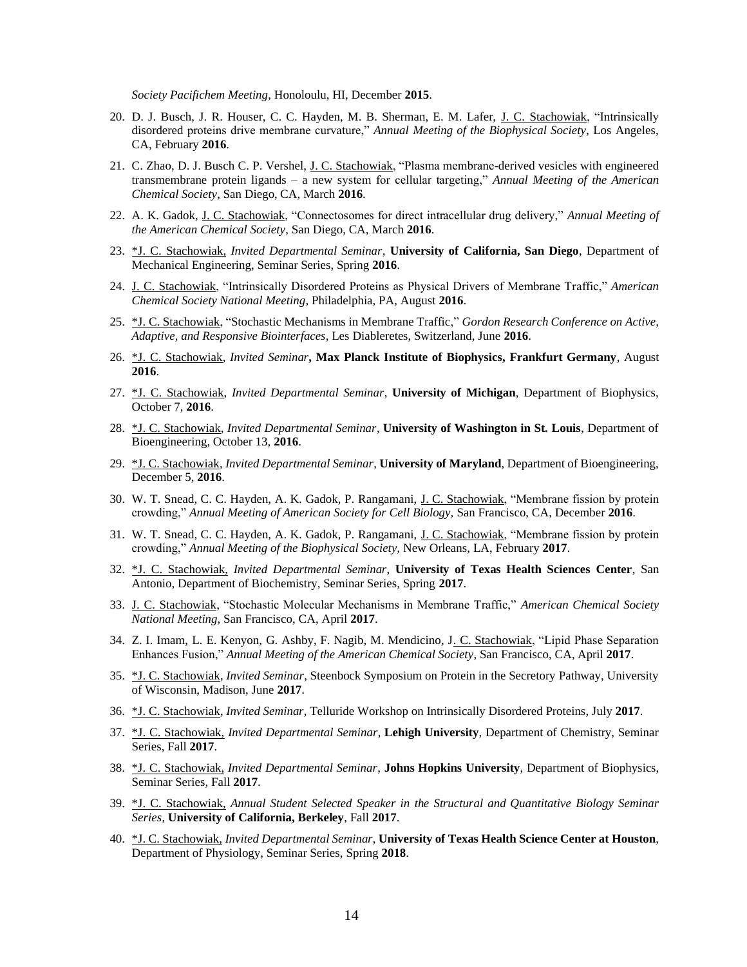*Society Pacifichem Meeting*, Honoloulu, HI, December **2015**.

- 20. D. J. Busch, J. R. Houser, C. C. Hayden, M. B. Sherman, E. M. Lafer, J. C. Stachowiak, "Intrinsically disordered proteins drive membrane curvature," *Annual Meeting of the Biophysical Society*, Los Angeles, CA, February **2016**.
- 21. C. Zhao, D. J. Busch C. P. Vershel, J. C. Stachowiak, "Plasma membrane-derived vesicles with engineered transmembrane protein ligands – a new system for cellular targeting," *Annual Meeting of the American Chemical Society*, San Diego, CA, March **2016**.
- 22. A. K. Gadok, J. C. Stachowiak, "Connectosomes for direct intracellular drug delivery," *Annual Meeting of the American Chemical Society*, San Diego, CA, March **2016**.
- 23. \*J. C. Stachowiak, *Invited Departmental Seminar*, **University of California, San Diego**, Department of Mechanical Engineering, Seminar Series, Spring **2016**.
- 24. J. C. Stachowiak, "Intrinsically Disordered Proteins as Physical Drivers of Membrane Traffic," *American Chemical Society National Meeting*, Philadelphia, PA, August **2016**.
- 25. \*J. C. Stachowiak, "Stochastic Mechanisms in Membrane Traffic," *Gordon Research Conference on Active, Adaptive, and Responsive Biointerfaces*, Les Diableretes, Switzerland, June **2016**.
- 26. \*J. C. Stachowiak, *Invited Seminar***, Max Planck Institute of Biophysics, Frankfurt Germany**, August **2016**.
- 27. \*J. C. Stachowiak, *Invited Departmental Seminar*, **University of Michigan**, Department of Biophysics, October 7, **2016**.
- 28. \*J. C. Stachowiak, *Invited Departmental Seminar*, **University of Washington in St. Louis**, Department of Bioengineering, October 13, **2016**.
- 29. \*J. C. Stachowiak, *Invited Departmental Seminar*, **University of Maryland**, Department of Bioengineering, December 5, **2016**.
- 30. W. T. Snead, C. C. Hayden, A. K. Gadok, P. Rangamani, J. C. Stachowiak, "Membrane fission by protein crowding," *Annual Meeting of American Society for Cell Biology,* San Francisco, CA, December **2016**.
- 31. W. T. Snead, C. C. Hayden, A. K. Gadok, P. Rangamani, J. C. Stachowiak, "Membrane fission by protein crowding," *Annual Meeting of the Biophysical Society,* New Orleans, LA, February **2017**.
- 32. \*J. C. Stachowiak, *Invited Departmental Seminar*, **University of Texas Health Sciences Center**, San Antonio, Department of Biochemistry, Seminar Series, Spring **2017**.
- 33. J. C. Stachowiak, "Stochastic Molecular Mechanisms in Membrane Traffic," *American Chemical Society National Meeting*, San Francisco, CA, April **2017**.
- 34. Z. I. Imam, L. E. Kenyon, G. Ashby, F. Nagib, M. Mendicino, J. C. Stachowiak, "Lipid Phase Separation Enhances Fusion," *Annual Meeting of the American Chemical Society*, San Francisco, CA, April **2017**.
- 35. \*J. C. Stachowiak, *Invited Seminar*, Steenbock Symposium on Protein in the Secretory Pathway, University of Wisconsin, Madison, June **2017**.
- 36. \*J. C. Stachowiak, *Invited Seminar*, Telluride Workshop on Intrinsically Disordered Proteins, July **2017**.
- 37. \*J. C. Stachowiak, *Invited Departmental Seminar*, **Lehigh University**, Department of Chemistry, Seminar Series, Fall **2017**.
- 38. \*J. C. Stachowiak, *Invited Departmental Seminar*, **Johns Hopkins University**, Department of Biophysics, Seminar Series, Fall **2017**.
- 39. \*J. C. Stachowiak, *Annual Student Selected Speaker in the Structural and Quantitative Biology Seminar Series*, **University of California, Berkeley**, Fall **2017**.
- 40. \*J. C. Stachowiak, *Invited Departmental Seminar*, **University of Texas Health Science Center at Houston**, Department of Physiology, Seminar Series, Spring **2018**.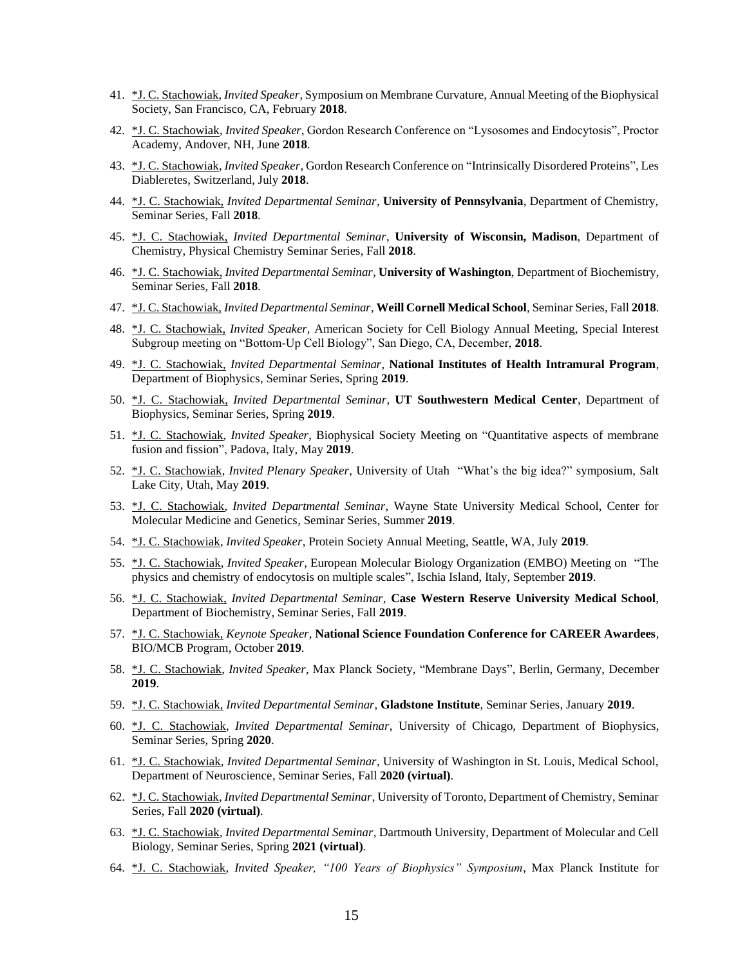- 41. \*J. C. Stachowiak, *Invited Speaker*, Symposium on Membrane Curvature, Annual Meeting of the Biophysical Society, San Francisco, CA, February **2018**.
- 42. \*J. C. Stachowiak, *Invited Speaker*, Gordon Research Conference on "Lysosomes and Endocytosis", Proctor Academy, Andover, NH, June **2018**.
- 43. \*J. C. Stachowiak, *Invited Speaker*, Gordon Research Conference on "Intrinsically Disordered Proteins", Les Diableretes, Switzerland, July **2018**.
- 44. \*J. C. Stachowiak, *Invited Departmental Seminar*, **University of Pennsylvania**, Department of Chemistry, Seminar Series, Fall **2018**.
- 45. \*J. C. Stachowiak, *Invited Departmental Seminar*, **University of Wisconsin, Madison**, Department of Chemistry, Physical Chemistry Seminar Series, Fall **2018**.
- 46. \*J. C. Stachowiak, *Invited Departmental Seminar*, **University of Washington**, Department of Biochemistry, Seminar Series, Fall **2018**.
- 47. \*J. C. Stachowiak, *Invited Departmental Seminar*, **Weill Cornell Medical School**, Seminar Series, Fall **2018**.
- 48. \*J. C. Stachowiak, *Invited Speaker,* American Society for Cell Biology Annual Meeting, Special Interest Subgroup meeting on "Bottom-Up Cell Biology", San Diego, CA, December, **2018**.
- 49. \*J. C. Stachowiak, *Invited Departmental Seminar*, **National Institutes of Health Intramural Program**, Department of Biophysics, Seminar Series, Spring **2019**.
- 50. \*J. C. Stachowiak, *Invited Departmental Seminar*, **UT Southwestern Medical Center**, Department of Biophysics, Seminar Series, Spring **2019**.
- 51. \*J. C. Stachowiak, *Invited Speaker*, Biophysical Society Meeting on "Quantitative aspects of membrane fusion and fission", Padova, Italy, May **2019**.
- 52. \*J. C. Stachowiak, *Invited Plenary Speaker*, University of Utah "What's the big idea?" symposium, Salt Lake City, Utah, May **2019**.
- 53. \*J. C. Stachowiak, *Invited Departmental Seminar*, Wayne State University Medical School, Center for Molecular Medicine and Genetics, Seminar Series, Summer **2019**.
- 54. \*J. C. Stachowiak, *Invited Speaker*, Protein Society Annual Meeting, Seattle, WA, July **2019**.
- 55. \*J. C. Stachowiak, *Invited Speaker*, European Molecular Biology Organization (EMBO) Meeting on "The physics and chemistry of endocytosis on multiple scales", Ischia Island, Italy, September **2019**.
- 56. \*J. C. Stachowiak, *Invited Departmental Seminar*, **Case Western Reserve University Medical School**, Department of Biochemistry, Seminar Series, Fall **2019**.
- 57. \*J. C. Stachowiak, *Keynote Speaker*, **National Science Foundation Conference for CAREER Awardees**, BIO/MCB Program, October **2019**.
- 58. \*J. C. Stachowiak, *Invited Speaker*, Max Planck Society, "Membrane Days", Berlin, Germany, December **2019**.
- 59. \*J. C. Stachowiak, *Invited Departmental Seminar*, **Gladstone Institute**, Seminar Series, January **2019**.
- 60. \*J. C. Stachowiak, *Invited Departmental Seminar*, University of Chicago, Department of Biophysics, Seminar Series, Spring **2020**.
- 61. \*J. C. Stachowiak, *Invited Departmental Seminar*, University of Washington in St. Louis, Medical School, Department of Neuroscience, Seminar Series, Fall **2020 (virtual)**.
- 62. \*J. C. Stachowiak, *Invited Departmental Seminar*, University of Toronto, Department of Chemistry, Seminar Series, Fall **2020 (virtual)**.
- 63. \*J. C. Stachowiak, *Invited Departmental Seminar*, Dartmouth University, Department of Molecular and Cell Biology, Seminar Series, Spring **2021 (virtual)**.
- 64. \*J. C. Stachowiak, *Invited Speaker, "100 Years of Biophysics" Symposium*, Max Planck Institute for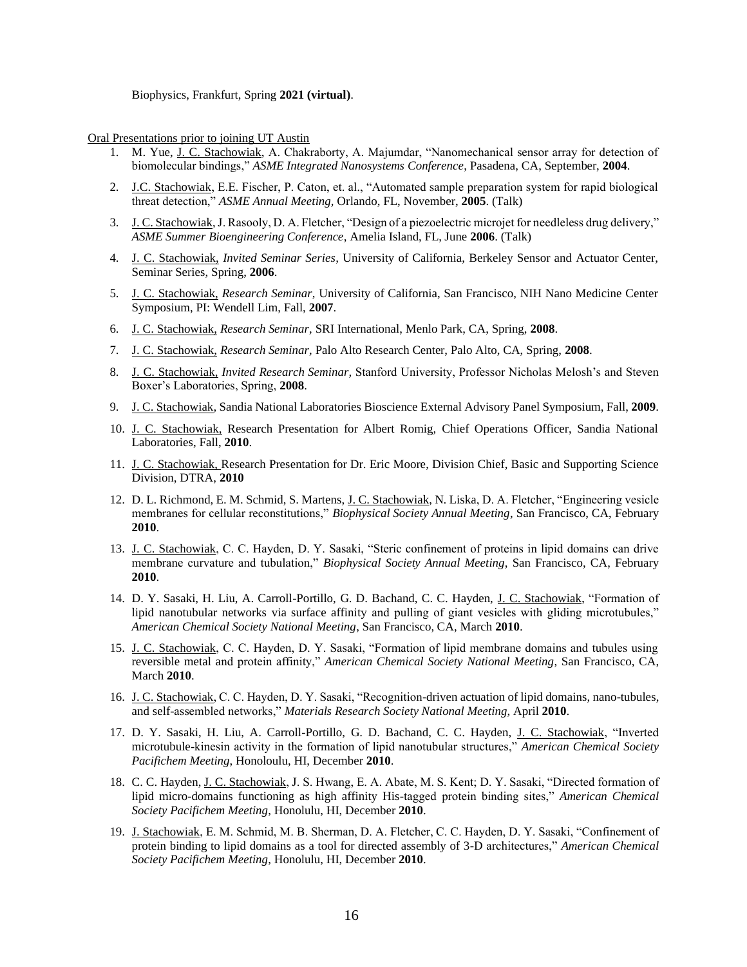Biophysics, Frankfurt, Spring **2021 (virtual)**.

Oral Presentations prior to joining UT Austin

- 1. M. Yue, J. C. Stachowiak, A. Chakraborty, A. Majumdar, "Nanomechanical sensor array for detection of biomolecular bindings," *ASME Integrated Nanosystems Conference*, Pasadena, CA, September, **2004**.
- 2. J.C. Stachowiak, E.E. Fischer, P. Caton, et. al., "Automated sample preparation system for rapid biological threat detection," *ASME Annual Meeting,* Orlando, FL, November, **2005**. (Talk)
- 3. J. C. Stachowiak, J. Rasooly, D. A. Fletcher, "Design of a piezoelectric microjet for needleless drug delivery," *ASME Summer Bioengineering Conference*, Amelia Island, FL, June **2006**. (Talk)
- 4. J. C. Stachowiak, *Invited Seminar Series,* University of California, Berkeley Sensor and Actuator Center, Seminar Series, Spring, **2006**.
- 5. J. C. Stachowiak, *Research Seminar,* University of California, San Francisco, NIH Nano Medicine Center Symposium, PI: Wendell Lim, Fall, **2007**.
- 6. J. C. Stachowiak, *Research Seminar,* SRI International, Menlo Park, CA, Spring, **2008**.
- 7. J. C. Stachowiak, *Research Seminar,* Palo Alto Research Center, Palo Alto, CA, Spring, **2008**.
- 8. J. C. Stachowiak, *Invited Research Seminar,* Stanford University, Professor Nicholas Melosh's and Steven Boxer's Laboratories, Spring, **2008**.
- 9. J. C. Stachowiak*,* Sandia National Laboratories Bioscience External Advisory Panel Symposium, Fall, **2009**.
- 10. J. C. Stachowiak, Research Presentation for Albert Romig, Chief Operations Officer, Sandia National Laboratories, Fall, **2010**.
- 11. J. C. Stachowiak, Research Presentation for Dr. Eric Moore, Division Chief, Basic and Supporting Science Division, DTRA, **2010**
- 12. D. L. Richmond, E. M. Schmid, S. Martens, J. C. Stachowiak, N. Liska, D. A. Fletcher, "Engineering vesicle membranes for cellular reconstitutions," *Biophysical Society Annual Meeting*, San Francisco, CA, February **2010**.
- 13. J. C. Stachowiak, C. C. Hayden, D. Y. Sasaki, "Steric confinement of proteins in lipid domains can drive membrane curvature and tubulation," *Biophysical Society Annual Meeting*, San Francisco, CA, February **2010**.
- 14. D. Y. Sasaki, H. Liu, A. Carroll-Portillo, G. D. Bachand, C. C. Hayden, J. C. Stachowiak, "Formation of lipid nanotubular networks via surface affinity and pulling of giant vesicles with gliding microtubules," *American Chemical Society National Meeting*, San Francisco, CA, March **2010**.
- 15. J. C. Stachowiak, C. C. Hayden, D. Y. Sasaki, "Formation of lipid membrane domains and tubules using reversible metal and protein affinity," *American Chemical Society National Meeting*, San Francisco, CA, March **2010**.
- 16. J. C. Stachowiak, C. C. Hayden, D. Y. Sasaki, "Recognition-driven actuation of lipid domains, nano-tubules, and self-assembled networks," *Materials Research Society National Meeting*, April **2010**.
- 17. D. Y. Sasaki, H. Liu, A. Carroll-Portillo, G. D. Bachand, C. C. Hayden, J. C. Stachowiak, "Inverted microtubule-kinesin activity in the formation of lipid nanotubular structures," *American Chemical Society Pacifichem Meeting*, Honoloulu, HI, December **2010**.
- 18. C. C. Hayden, J. C. Stachowiak, J. S. Hwang, E. A. Abate, M. S. Kent; D. Y. Sasaki, "Directed formation of lipid micro-domains functioning as high affinity His-tagged protein binding sites," *American Chemical Society Pacifichem Meeting*, Honolulu, HI, December **2010**.
- 19. J. Stachowiak, E. M. Schmid, M. B. Sherman, D. A. Fletcher, C. C. Hayden, D. Y. Sasaki, "Confinement of protein binding to lipid domains as a tool for directed assembly of 3-D architectures," *American Chemical Society Pacifichem Meeting*, Honolulu, HI, December **2010**.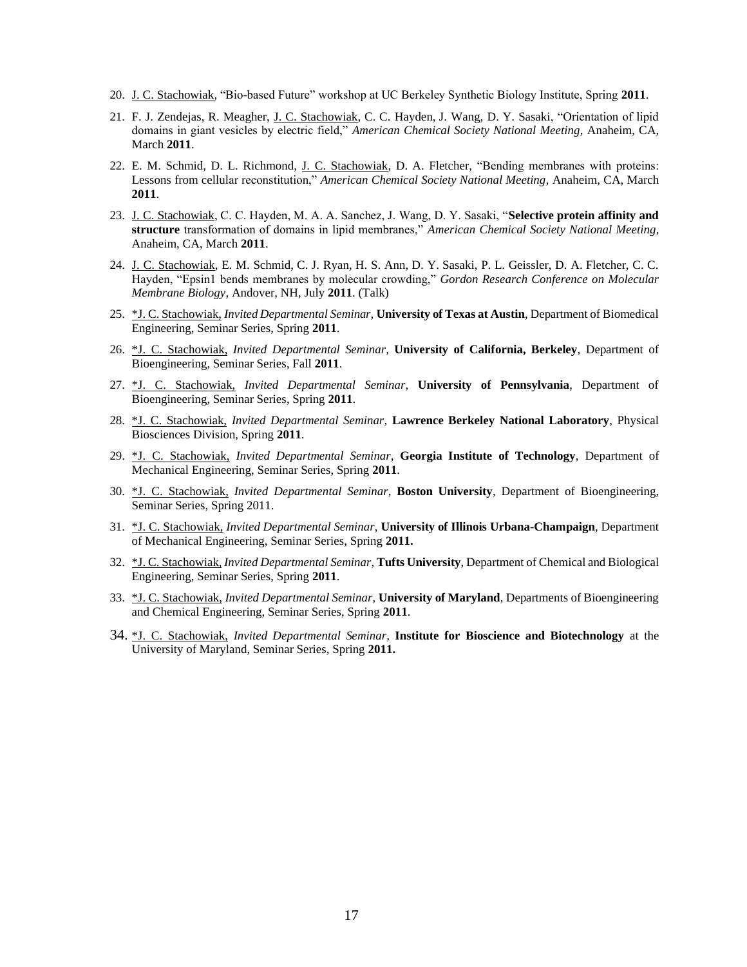- 20. J. C. Stachowiak*,* "Bio-based Future" workshop at UC Berkeley Synthetic Biology Institute, Spring **2011**.
- 21. F. J. Zendejas, R. Meagher, J. C. Stachowiak, C. C. Hayden, J. Wang, D. Y. Sasaki, "Orientation of lipid domains in giant vesicles by electric field," *American Chemical Society National Meeting*, Anaheim, CA, March **2011**.
- 22. E. M. Schmid, D. L. Richmond, J. C. Stachowiak, D. A. Fletcher, "Bending membranes with proteins: Lessons from cellular reconstitution," *American Chemical Society National Meeting*, Anaheim, CA, March **2011**.
- 23. J. C. Stachowiak, C. C. Hayden, M. A. A. Sanchez, J. Wang, D. Y. Sasaki, "**Selective protein affinity and structure** transformation of domains in lipid membranes," *American Chemical Society National Meeting*, Anaheim, CA, March **2011**.
- 24. J. C. Stachowiak, E. M. Schmid, C. J. Ryan, H. S. Ann, D. Y. Sasaki, P. L. Geissler, D. A. Fletcher, C. C. Hayden, "Epsin1 bends membranes by molecular crowding," *Gordon Research Conference on Molecular Membrane Biology*, Andover, NH, July **2011**. (Talk)
- 25. \*J. C. Stachowiak, *Invited Departmental Seminar,* **University of Texas at Austin**, Department of Biomedical Engineering, Seminar Series, Spring **2011**.
- 26. \*J. C. Stachowiak, *Invited Departmental Seminar,* **University of California, Berkeley**, Department of Bioengineering, Seminar Series, Fall **2011**.
- 27. \*J. C. Stachowiak, *Invited Departmental Seminar,* **University of Pennsylvania**, Department of Bioengineering, Seminar Series, Spring **2011**.
- 28. \*J. C. Stachowiak, *Invited Departmental Seminar,* **Lawrence Berkeley National Laboratory**, Physical Biosciences Division, Spring **2011**.
- 29. \*J. C. Stachowiak, *Invited Departmental Seminar,* **Georgia Institute of Technology**, Department of Mechanical Engineering, Seminar Series, Spring **2011**.
- 30. \*J. C. Stachowiak, *Invited Departmental Seminar,* **Boston University**, Department of Bioengineering, Seminar Series, Spring 2011.
- 31. \*J. C. Stachowiak, *Invited Departmental Seminar,* **University of Illinois Urbana-Champaign**, Department of Mechanical Engineering, Seminar Series, Spring **2011.**
- 32. \*J. C. Stachowiak, *Invited Departmental Seminar,* **Tufts University**, Department of Chemical and Biological Engineering, Seminar Series, Spring **2011**.
- 33. \*J. C. Stachowiak, *Invited Departmental Seminar,* **University of Maryland**, Departments of Bioengineering and Chemical Engineering, Seminar Series, Spring **2011**.
- 34. \*J. C. Stachowiak, *Invited Departmental Seminar,* **Institute for Bioscience and Biotechnology** at the University of Maryland, Seminar Series, Spring **2011.**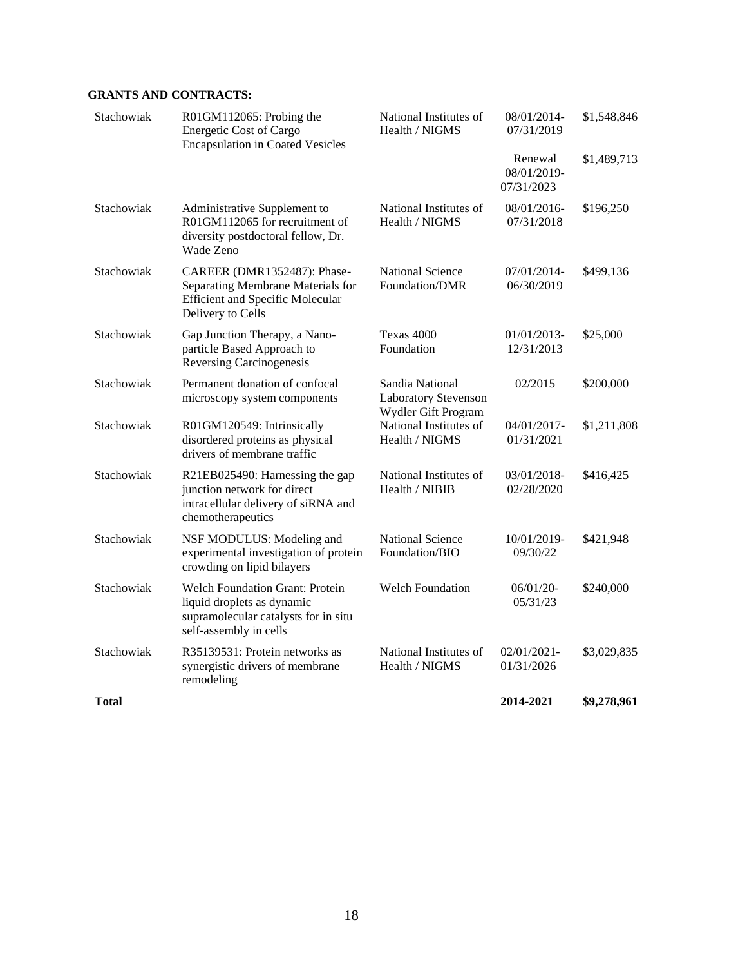# **GRANTS AND CONTRACTS:**

| <b>Total</b> |                                                                                                                                        |                                                                | 2014-2021                            | \$9,278,961 |
|--------------|----------------------------------------------------------------------------------------------------------------------------------------|----------------------------------------------------------------|--------------------------------------|-------------|
| Stachowiak   | R35139531: Protein networks as<br>synergistic drivers of membrane<br>remodeling                                                        | National Institutes of<br>Health / NIGMS                       | 02/01/2021-<br>01/31/2026            | \$3,029,835 |
| Stachowiak   | <b>Welch Foundation Grant: Protein</b><br>liquid droplets as dynamic<br>supramolecular catalysts for in situ<br>self-assembly in cells | <b>Welch Foundation</b>                                        | 06/01/20-<br>05/31/23                | \$240,000   |
| Stachowiak   | NSF MODULUS: Modeling and<br>experimental investigation of protein<br>crowding on lipid bilayers                                       | <b>National Science</b><br>Foundation/BIO                      | 10/01/2019-<br>09/30/22              | \$421,948   |
| Stachowiak   | R21EB025490: Harnessing the gap<br>junction network for direct<br>intracellular delivery of siRNA and<br>chemotherapeutics             | National Institutes of<br>Health / NIBIB                       | 03/01/2018-<br>02/28/2020            | \$416,425   |
| Stachowiak   | R01GM120549: Intrinsically<br>disordered proteins as physical<br>drivers of membrane traffic                                           | National Institutes of<br>Health / NIGMS                       | 04/01/2017-<br>01/31/2021            | \$1,211,808 |
| Stachowiak   | Permanent donation of confocal<br>microscopy system components                                                                         | Sandia National<br>Laboratory Stevenson<br>Wydler Gift Program | 02/2015                              | \$200,000   |
| Stachowiak   | Gap Junction Therapy, a Nano-<br>particle Based Approach to<br><b>Reversing Carcinogenesis</b>                                         | Texas 4000<br>Foundation                                       | 01/01/2013-<br>12/31/2013            | \$25,000    |
| Stachowiak   | CAREER (DMR1352487): Phase-<br>Separating Membrane Materials for<br><b>Efficient and Specific Molecular</b><br>Delivery to Cells       | <b>National Science</b><br>Foundation/DMR                      | 07/01/2014-<br>06/30/2019            | \$499,136   |
| Stachowiak   | Administrative Supplement to<br>R01GM112065 for recruitment of<br>diversity postdoctoral fellow, Dr.<br>Wade Zeno                      | National Institutes of<br>Health / NIGMS                       | 08/01/2016-<br>07/31/2018            | \$196,250   |
|              |                                                                                                                                        |                                                                | Renewal<br>08/01/2019-<br>07/31/2023 | \$1,489,713 |
| Stachowiak   | R01GM112065: Probing the<br><b>Energetic Cost of Cargo</b><br><b>Encapsulation in Coated Vesicles</b>                                  | National Institutes of<br>Health / NIGMS                       | 08/01/2014-<br>07/31/2019            | \$1,548,846 |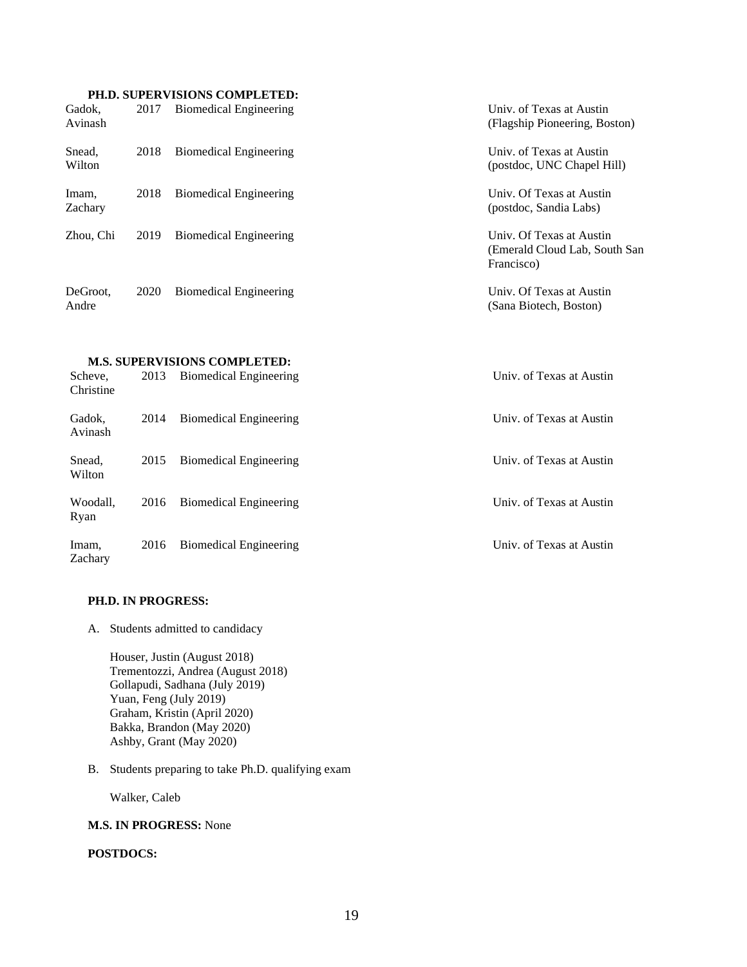# **PH.D. SUPERVISIONS COMPLETED:**

|                   |      | тир, эм ектемически соли естер. |                                                                          |
|-------------------|------|---------------------------------|--------------------------------------------------------------------------|
| Gadok.<br>Avinash | 2017 | <b>Biomedical Engineering</b>   | Univ. of Texas at Austin<br>(Flagship Pioneering, Boston)                |
| Snead,<br>Wilton  | 2018 | Biomedical Engineering          | Univ. of Texas at Austin<br>(postdoc, UNC Chapel Hill)                   |
| Imam,<br>Zachary  | 2018 | <b>Biomedical Engineering</b>   | Univ. Of Texas at Austin<br>(postdoc, Sandia Labs)                       |
| Zhou, Chi         | 2019 | Biomedical Engineering          | Univ. Of Texas at Austin<br>(Emerald Cloud Lab, South San)<br>Francisco) |
| DeGroot,<br>Andre | 2020 | <b>Biomedical Engineering</b>   | Univ. Of Texas at Austin<br>(Sana Biotech, Boston)                       |

# **M.S. SUPERVISIONS COMPLETED:**

| Scheve.<br>Christine | 2013 | <b>Biomedical Engineering</b> | Univ. of Texas at Austin |
|----------------------|------|-------------------------------|--------------------------|
| Gadok.<br>Avinash    | 2014 | <b>Biomedical Engineering</b> | Univ. of Texas at Austin |
| Snead,<br>Wilton     | 2015 | <b>Biomedical Engineering</b> | Univ. of Texas at Austin |
| Woodall,<br>Ryan     | 2016 | <b>Biomedical Engineering</b> | Univ. of Texas at Austin |
| Imam,<br>Zachary     | 2016 | <b>Biomedical Engineering</b> | Univ. of Texas at Austin |

# **PH.D. IN PROGRESS:**

A. Students admitted to candidacy

Houser, Justin (August 2018) Trementozzi, Andrea (August 2018) Gollapudi, Sadhana (July 2019) Yuan, Feng (July 2019) Graham, Kristin (April 2020) Bakka, Brandon (May 2020) Ashby, Grant (May 2020)

B. Students preparing to take Ph.D. qualifying exam

Walker, Caleb

### **M.S. IN PROGRESS:** None

# **POSTDOCS:**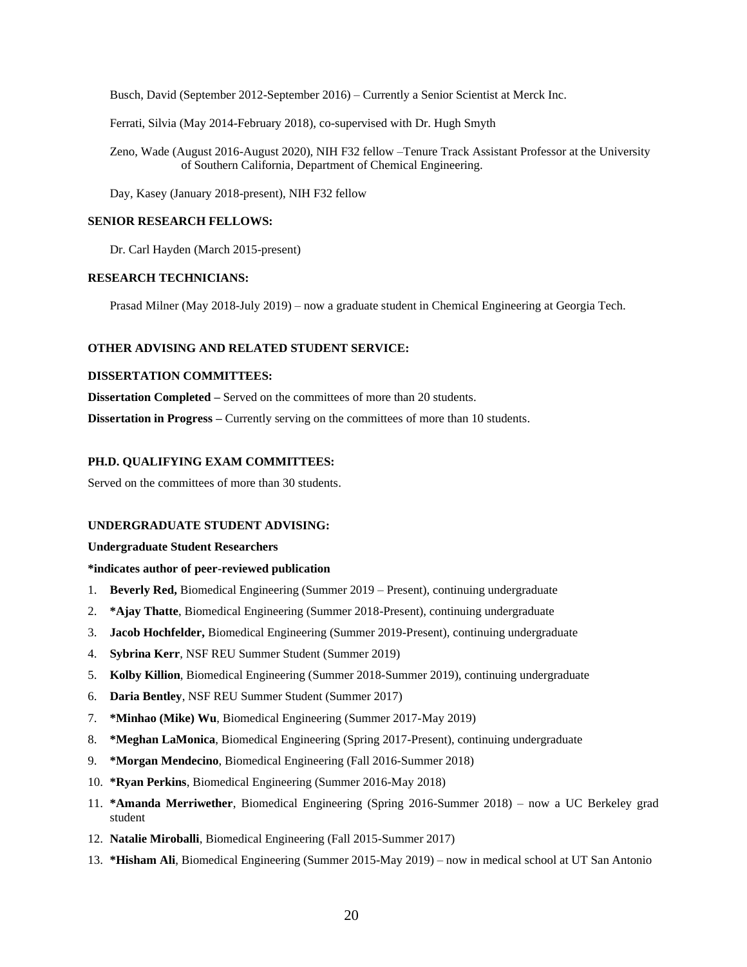Busch, David (September 2012-September 2016) – Currently a Senior Scientist at Merck Inc.

Ferrati, Silvia (May 2014-February 2018), co-supervised with Dr. Hugh Smyth

Zeno, Wade (August 2016-August 2020), NIH F32 fellow –Tenure Track Assistant Professor at the University of Southern California, Department of Chemical Engineering.

Day, Kasey (January 2018-present), NIH F32 fellow

# **SENIOR RESEARCH FELLOWS:**

Dr. Carl Hayden (March 2015-present)

## **RESEARCH TECHNICIANS:**

Prasad Milner (May 2018-July 2019) – now a graduate student in Chemical Engineering at Georgia Tech.

### **OTHER ADVISING AND RELATED STUDENT SERVICE:**

## **DISSERTATION COMMITTEES:**

**Dissertation Completed –** Served on the committees of more than 20 students.

**Dissertation in Progress – Currently serving on the committees of more than 10 students.** 

### **PH.D. QUALIFYING EXAM COMMITTEES:**

Served on the committees of more than 30 students.

#### **UNDERGRADUATE STUDENT ADVISING:**

#### **Undergraduate Student Researchers**

### **\*indicates author of peer-reviewed publication**

- 1. **Beverly Red,** Biomedical Engineering (Summer 2019 Present), continuing undergraduate
- 2. **\*Ajay Thatte**, Biomedical Engineering (Summer 2018-Present), continuing undergraduate
- 3. **Jacob Hochfelder,** Biomedical Engineering (Summer 2019-Present), continuing undergraduate
- 4. **Sybrina Kerr**, NSF REU Summer Student (Summer 2019)
- 5. **Kolby Killion**, Biomedical Engineering (Summer 2018-Summer 2019), continuing undergraduate
- 6. **Daria Bentley**, NSF REU Summer Student (Summer 2017)
- 7. **\*Minhao (Mike) Wu**, Biomedical Engineering (Summer 2017-May 2019)
- 8. **\*Meghan LaMonica**, Biomedical Engineering (Spring 2017-Present), continuing undergraduate
- 9. **\*Morgan Mendecino**, Biomedical Engineering (Fall 2016-Summer 2018)
- 10. **\*Ryan Perkins**, Biomedical Engineering (Summer 2016-May 2018)
- 11. **\*Amanda Merriwether**, Biomedical Engineering (Spring 2016-Summer 2018) now a UC Berkeley grad student
- 12. **Natalie Miroballi**, Biomedical Engineering (Fall 2015-Summer 2017)
- 13. **\*Hisham Ali**, Biomedical Engineering (Summer 2015-May 2019) now in medical school at UT San Antonio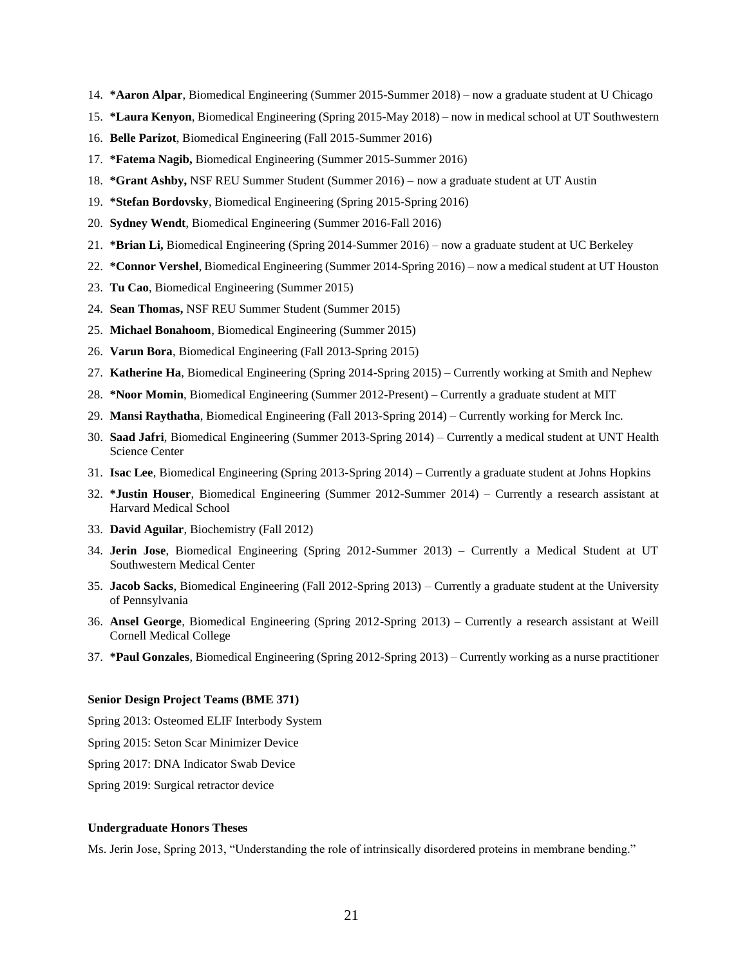- 14. **\*Aaron Alpar**, Biomedical Engineering (Summer 2015-Summer 2018) now a graduate student at U Chicago
- 15. **\*Laura Kenyon**, Biomedical Engineering (Spring 2015-May 2018) now in medical school at UT Southwestern
- 16. **Belle Parizot**, Biomedical Engineering (Fall 2015-Summer 2016)
- 17. **\*Fatema Nagib,** Biomedical Engineering (Summer 2015-Summer 2016)
- 18. **\*Grant Ashby,** NSF REU Summer Student (Summer 2016) now a graduate student at UT Austin
- 19. **\*Stefan Bordovsky**, Biomedical Engineering (Spring 2015-Spring 2016)
- 20. **Sydney Wendt**, Biomedical Engineering (Summer 2016-Fall 2016)
- 21. **\*Brian Li,** Biomedical Engineering (Spring 2014-Summer 2016) now a graduate student at UC Berkeley
- 22. **\*Connor Vershel**, Biomedical Engineering (Summer 2014-Spring 2016) now a medical student at UT Houston
- 23. **Tu Cao**, Biomedical Engineering (Summer 2015)
- 24. **Sean Thomas,** NSF REU Summer Student (Summer 2015)
- 25. **Michael Bonahoom**, Biomedical Engineering (Summer 2015)
- 26. **Varun Bora**, Biomedical Engineering (Fall 2013-Spring 2015)
- 27. **Katherine Ha**, Biomedical Engineering (Spring 2014-Spring 2015) Currently working at Smith and Nephew
- 28. **\*Noor Momin**, Biomedical Engineering (Summer 2012-Present) Currently a graduate student at MIT
- 29. **Mansi Raythatha**, Biomedical Engineering (Fall 2013-Spring 2014) Currently working for Merck Inc.
- 30. **Saad Jafri**, Biomedical Engineering (Summer 2013-Spring 2014) Currently a medical student at UNT Health Science Center
- 31. **Isac Lee**, Biomedical Engineering (Spring 2013-Spring 2014) Currently a graduate student at Johns Hopkins
- 32. **\*Justin Houser**, Biomedical Engineering (Summer 2012-Summer 2014) Currently a research assistant at Harvard Medical School
- 33. **David Aguilar**, Biochemistry (Fall 2012)
- 34. **Jerin Jose**, Biomedical Engineering (Spring 2012-Summer 2013) Currently a Medical Student at UT Southwestern Medical Center
- 35. **Jacob Sacks**, Biomedical Engineering (Fall 2012-Spring 2013) Currently a graduate student at the University of Pennsylvania
- 36. **Ansel George**, Biomedical Engineering (Spring 2012-Spring 2013) Currently a research assistant at Weill Cornell Medical College
- 37. **\*Paul Gonzales**, Biomedical Engineering (Spring 2012-Spring 2013) Currently working as a nurse practitioner

#### **Senior Design Project Teams (BME 371)**

Spring 2013: Osteomed ELIF Interbody System

Spring 2015: Seton Scar Minimizer Device

Spring 2017: DNA Indicator Swab Device

Spring 2019: Surgical retractor device

#### **Undergraduate Honors Theses**

Ms. Jerin Jose, Spring 2013, "Understanding the role of intrinsically disordered proteins in membrane bending."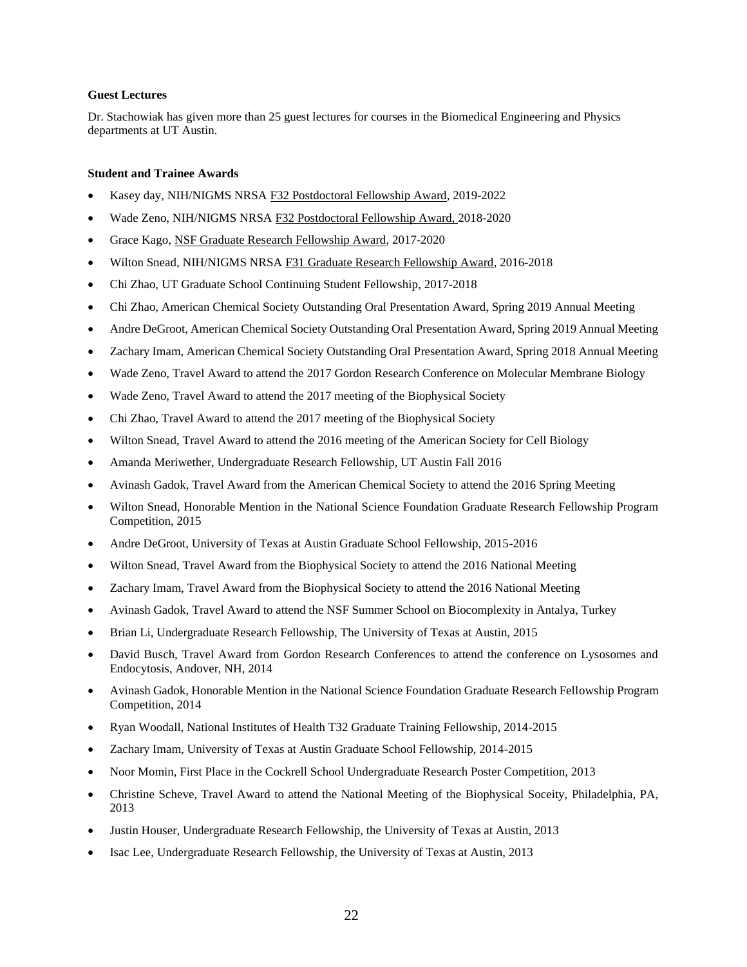## **Guest Lectures**

Dr. Stachowiak has given more than 25 guest lectures for courses in the Biomedical Engineering and Physics departments at UT Austin.

# **Student and Trainee Awards**

- Kasey day, NIH/NIGMS NRSA F32 Postdoctoral Fellowship Award, 2019-2022
- Wade Zeno, NIH/NIGMS NRSA F32 Postdoctoral Fellowship Award, 2018-2020
- Grace Kago, NSF Graduate Research Fellowship Award, 2017-2020
- Wilton Snead, NIH/NIGMS NRSA F31 Graduate Research Fellowship Award, 2016-2018
- Chi Zhao, UT Graduate School Continuing Student Fellowship, 2017-2018
- Chi Zhao, American Chemical Society Outstanding Oral Presentation Award, Spring 2019 Annual Meeting
- Andre DeGroot, American Chemical Society Outstanding Oral Presentation Award, Spring 2019 Annual Meeting
- Zachary Imam, American Chemical Society Outstanding Oral Presentation Award, Spring 2018 Annual Meeting
- Wade Zeno, Travel Award to attend the 2017 Gordon Research Conference on Molecular Membrane Biology
- Wade Zeno, Travel Award to attend the 2017 meeting of the Biophysical Society
- Chi Zhao, Travel Award to attend the 2017 meeting of the Biophysical Society
- Wilton Snead, Travel Award to attend the 2016 meeting of the American Society for Cell Biology
- Amanda Meriwether, Undergraduate Research Fellowship, UT Austin Fall 2016
- Avinash Gadok, Travel Award from the American Chemical Society to attend the 2016 Spring Meeting
- Wilton Snead, Honorable Mention in the National Science Foundation Graduate Research Fellowship Program Competition, 2015
- Andre DeGroot, University of Texas at Austin Graduate School Fellowship, 2015-2016
- Wilton Snead, Travel Award from the Biophysical Society to attend the 2016 National Meeting
- Zachary Imam, Travel Award from the Biophysical Society to attend the 2016 National Meeting
- Avinash Gadok, Travel Award to attend the NSF Summer School on Biocomplexity in Antalya, Turkey
- Brian Li, Undergraduate Research Fellowship, The University of Texas at Austin, 2015
- David Busch, Travel Award from Gordon Research Conferences to attend the conference on Lysosomes and Endocytosis, Andover, NH, 2014
- Avinash Gadok, Honorable Mention in the National Science Foundation Graduate Research Fellowship Program Competition, 2014
- Ryan Woodall, National Institutes of Health T32 Graduate Training Fellowship, 2014-2015
- Zachary Imam, University of Texas at Austin Graduate School Fellowship, 2014-2015
- Noor Momin, First Place in the Cockrell School Undergraduate Research Poster Competition, 2013
- Christine Scheve, Travel Award to attend the National Meeting of the Biophysical Soceity, Philadelphia, PA, 2013
- Justin Houser, Undergraduate Research Fellowship, the University of Texas at Austin, 2013
- Isac Lee, Undergraduate Research Fellowship, the University of Texas at Austin, 2013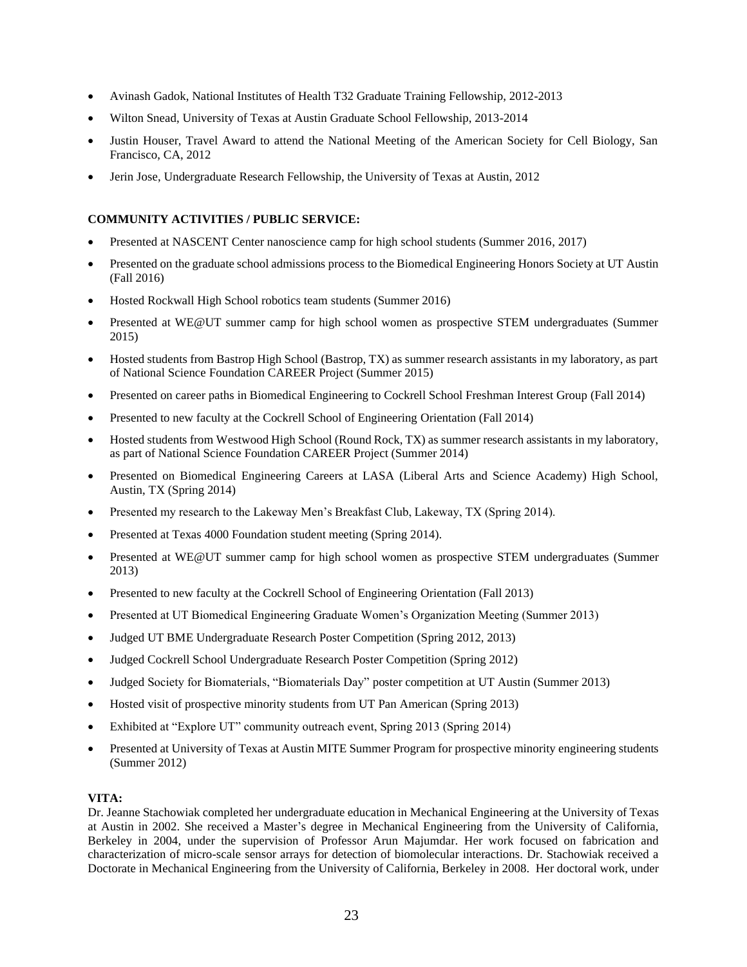- Avinash Gadok, National Institutes of Health T32 Graduate Training Fellowship, 2012-2013
- Wilton Snead, University of Texas at Austin Graduate School Fellowship, 2013-2014
- Justin Houser, Travel Award to attend the National Meeting of the American Society for Cell Biology, San Francisco, CA, 2012
- Jerin Jose, Undergraduate Research Fellowship, the University of Texas at Austin, 2012

# **COMMUNITY ACTIVITIES / PUBLIC SERVICE:**

- Presented at NASCENT Center nanoscience camp for high school students (Summer 2016, 2017)
- Presented on the graduate school admissions process to the Biomedical Engineering Honors Society at UT Austin (Fall 2016)
- Hosted Rockwall High School robotics team students (Summer 2016)
- Presented at WE@UT summer camp for high school women as prospective STEM undergraduates (Summer 2015)
- Hosted students from Bastrop High School (Bastrop, TX) as summer research assistants in my laboratory, as part of National Science Foundation CAREER Project (Summer 2015)
- Presented on career paths in Biomedical Engineering to Cockrell School Freshman Interest Group (Fall 2014)
- Presented to new faculty at the Cockrell School of Engineering Orientation (Fall 2014)
- Hosted students from Westwood High School (Round Rock, TX) as summer research assistants in my laboratory, as part of National Science Foundation CAREER Project (Summer 2014)
- Presented on Biomedical Engineering Careers at LASA (Liberal Arts and Science Academy) High School, Austin, TX (Spring 2014)
- Presented my research to the Lakeway Men's Breakfast Club, Lakeway, TX (Spring 2014).
- Presented at Texas 4000 Foundation student meeting (Spring 2014).
- Presented at WE@UT summer camp for high school women as prospective STEM undergraduates (Summer 2013)
- Presented to new faculty at the Cockrell School of Engineering Orientation (Fall 2013)
- Presented at UT Biomedical Engineering Graduate Women's Organization Meeting (Summer 2013)
- Judged UT BME Undergraduate Research Poster Competition (Spring 2012, 2013)
- Judged Cockrell School Undergraduate Research Poster Competition (Spring 2012)
- Judged Society for Biomaterials, "Biomaterials Day" poster competition at UT Austin (Summer 2013)
- Hosted visit of prospective minority students from UT Pan American (Spring 2013)
- Exhibited at "Explore UT" community outreach event, Spring 2013 (Spring 2014)
- Presented at University of Texas at Austin MITE Summer Program for prospective minority engineering students (Summer 2012)

# **VITA:**

Dr. Jeanne Stachowiak completed her undergraduate education in Mechanical Engineering at the University of Texas at Austin in 2002. She received a Master's degree in Mechanical Engineering from the University of California, Berkeley in 2004, under the supervision of Professor Arun Majumdar. Her work focused on fabrication and characterization of micro-scale sensor arrays for detection of biomolecular interactions. Dr. Stachowiak received a Doctorate in Mechanical Engineering from the University of California, Berkeley in 2008. Her doctoral work, under